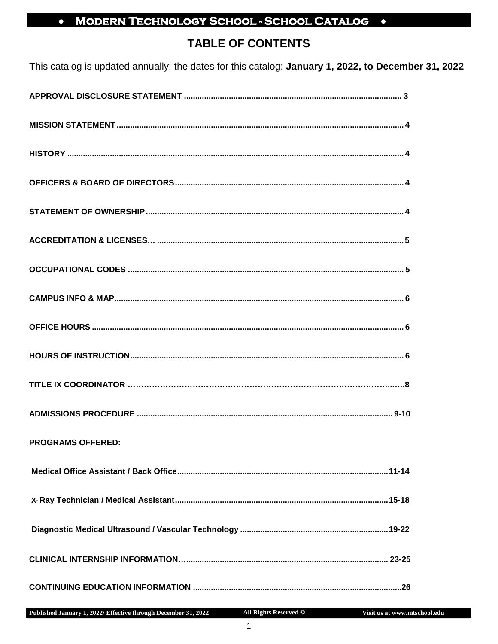## • MODERN TECHNOLOGY SCHOOL - SCHOOL CATALOG .

## **TABLE OF CONTENTS**

This catalog is updated annually; the dates for this catalog: January 1, 2022, to December 31, 2022

| <b>PROGRAMS OFFERED:</b>                                                                                            |  |
|---------------------------------------------------------------------------------------------------------------------|--|
|                                                                                                                     |  |
|                                                                                                                     |  |
|                                                                                                                     |  |
|                                                                                                                     |  |
| and the contract of the contract of the contract of the contract of the contract of the contract of the contract of |  |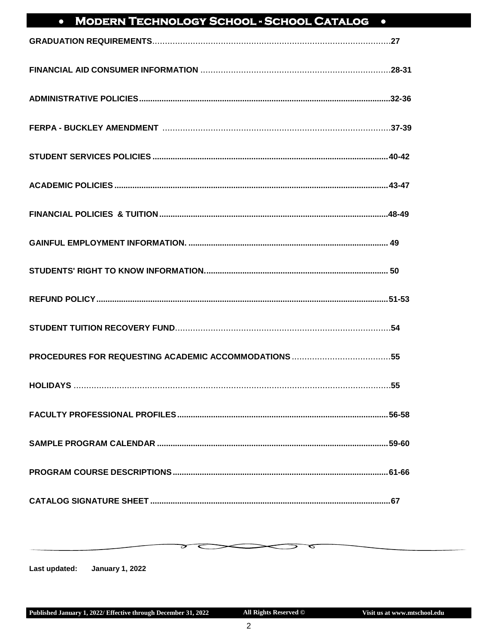#### **MODERN TECHNOLOGY SCHOOL - SCHOOL CATALOG .**  $\bullet$

<span id="page-1-0"></span>Last updated: **January 1, 2022**  ⊃

ᠳ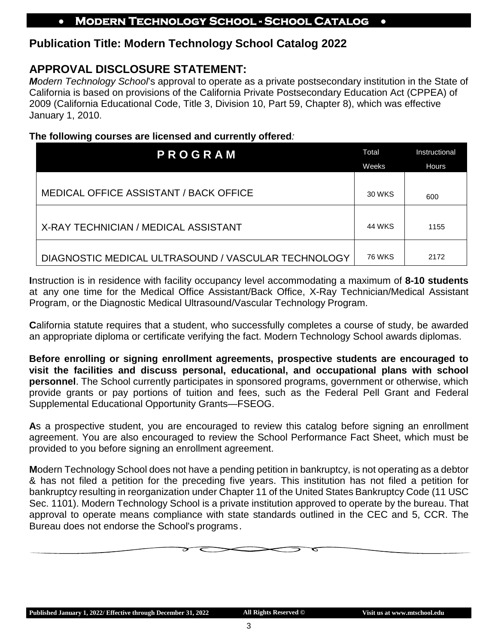## **Publication Title: Modern Technology School Catalog 2022**

## **APPROVAL DISCLOSURE STATEMENT:**

*Modern Technology School*'s approval to operate as a private postsecondary institution in the State of California is based on provisions of the California Private Postsecondary Education Act (CPPEA) of 2009 (California Educational Code, Title 3, Division 10, Part 59, Chapter 8), which was effective January 1, 2010.

#### **The following courses are licensed and currently offered***:*

| PROGRAM                                             |               | Instructional |  |
|-----------------------------------------------------|---------------|---------------|--|
|                                                     | Weeks         | <b>Hours</b>  |  |
|                                                     |               |               |  |
| <b>MEDICAL OFFICE ASSISTANT / BACK OFFICE</b>       | 30 WKS        | 600           |  |
|                                                     |               |               |  |
| X-RAY TECHNICIAN / MEDICAL ASSISTANT                | 44 WKS        | 1155          |  |
|                                                     |               |               |  |
| DIAGNOSTIC MEDICAL ULTRASOUND / VASCULAR TECHNOLOGY | <b>76 WKS</b> | 2172          |  |

**I**nstruction is in residence with facility occupancy level accommodating a maximum of **8-10 students**  at any one time for the Medical Office Assistant/Back Office, X-Ray Technician/Medical Assistant Program, or the Diagnostic Medical Ultrasound/Vascular Technology Program.

**C**alifornia statute requires that a student, who successfully completes a course of study, be awarded an appropriate diploma or certificate verifying the fact. Modern Technology School awards diplomas.

**Before enrolling or signing enrollment agreements, prospective students are encouraged to visit the facilities and discuss personal, educational, and occupational plans with school personnel**. The School currently participates in sponsored programs, government or otherwise, which provide grants or pay portions of tuition and fees, such as the Federal Pell Grant and Federal Supplemental Educational Opportunity Grants—FSEOG.

**A**s a prospective student, you are encouraged to review this catalog before signing an enrollment agreement. You are also encouraged to review the School Performance Fact Sheet, which must be provided to you before signing an enrollment agreement.

**M**odern Technology School does not have a pending petition in bankruptcy, is not operating as a debtor & has not filed a petition for the preceding five years. This institution has not filed a petition for bankruptcy resulting in reorganization under Chapter 11 of the United States Bankruptcy Code (11 USC Sec. 1101). Modern Technology School is a private institution approved to operate by the bureau. That approval to operate means compliance with state standards outlined in the CEC and 5, CCR. The Bureau does not endorse the School's programs.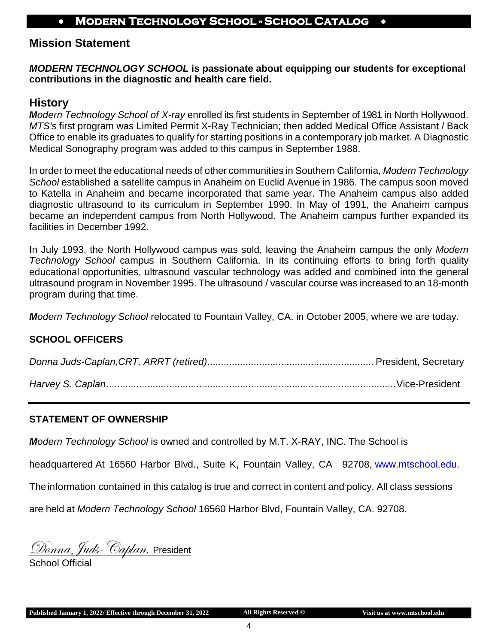## **Mission Statement**

#### *MODERN TECHNOLOGY SCHOOL* **is passionate about equipping our students for exceptional contributions in the diagnostic and health care field.**

#### <span id="page-3-0"></span>**History**

*Modern Technology School of X-ray* enrolled its first students in September of 1981 in North Hollywood. *MTS's* first program was Limited Permit X-Ray Technician; then added Medical Office Assistant / Back Office to enable its graduates to qualify for starting positions in a contemporary job market. A Diagnostic Medical Sonography program was added to this campus in September 1988.

**I**n order to meet the educational needs of other communities in Southern California, *Modern Technology School* established a satellite campus in Anaheim on Euclid Avenue in 1986. The campus soon moved to Katella in Anaheim and became incorporated that same year. The Anaheim campus also added diagnostic ultrasound to its curriculum in September 1990. In May of 1991, the Anaheim campus became an independent campus from North Hollywood. The Anaheim campus further expanded its facilities in December 1992.

**I**n July 1993, the North Hollywood campus was sold, leaving the Anaheim campus the only *Modern Technology School* campus in Southern California. In its continuing efforts to bring forth quality educational opportunities, ultrasound vascular technology was added and combined into the general ultrasound program in November 1995. The ultrasound / vascular course was increased to an 18-month program during that time.

*Modern Technology School* relocated to Fountain Valley, CA. in October 2005, where we are today.

#### <span id="page-3-1"></span>**SCHOOL OFFICERS**

#### <span id="page-3-2"></span>**STATEMENT OF OWNERSHIP**

*Modern Technology School* is owned and controlled by M.T. X-RAY, INC. The School is

<span id="page-3-3"></span>headquartered At 16560 Harbor Blvd., Suite K, Fountain Valley, CA 92708, [www.mtschool.edu.](http://www.mtschool.edu/)

The information contained in this catalog is true and correct in content and policy. All class sessions

are held at *Modern Technology School* 16560 Harbor Blvd, Fountain Valley, CA. 92708.

<u> Donna, Juds- Caplan, President</u>

School Official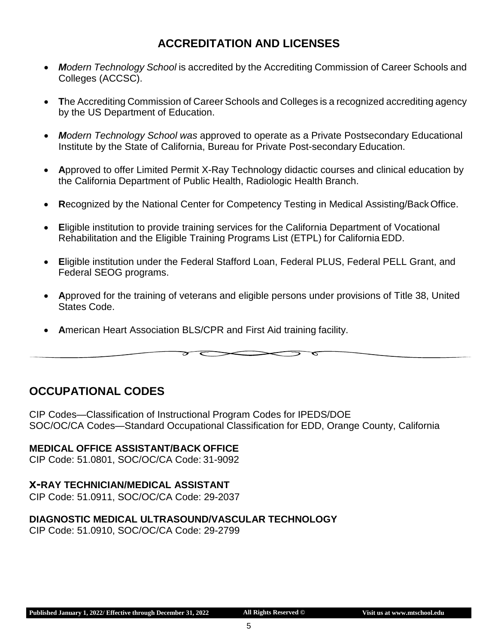## **ACCREDITATION AND LICENSES**

- *Modern Technology School* is accredited by the Accrediting Commission of Career Schools and Colleges (ACCSC).
- **T**he Accrediting Commission of Career Schools and Colleges is a recognized accrediting agency by the US Department of Education.
- *Modern Technology School was* approved to operate as a Private Postsecondary Educational Institute by the State of California, Bureau for Private Post-secondary Education.
- **A**pproved to offer Limited Permit X-Ray Technology didactic courses and clinical education by the California Department of Public Health, Radiologic Health Branch.
- **R**ecognized by the National Center for Competency Testing in Medical Assisting/BackOffice.
- **E**ligible institution to provide training services for the California Department of Vocational Rehabilitation and the Eligible Training Programs List (ETPL) for California EDD.
- **E**ligible institution under the Federal Stafford Loan, Federal PLUS, Federal PELL Grant, and Federal SEOG programs.
- **A**pproved for the training of veterans and eligible persons under provisions of Title 38, United States Code.

 $\overline{\phantom{a}}$ 

 $\tilde{}$ 

• **A**merican Heart Association BLS/CPR and First Aid training facility.

 $\overline{\phantom{0}}$ 

 $\overline{\mathscr{E}}$ 

## <span id="page-4-0"></span>**OCCUPATIONAL CODES**

CIP Codes—Classification of Instructional Program Codes for IPEDS/DOE SOC/OC/CA Codes—Standard Occupational Classification for EDD, Orange County, California

#### **MEDICAL OFFICE ASSISTANT/BACK OFFICE**

CIP Code: 51.0801, SOC/OC/CA Code: 31-9092

#### **x-RAY TECHNICIAN/MEDICAL ASSISTANT**

CIP Code: 51.0911, SOC/OC/CA Code: 29-2037

#### **DIAGNOSTIC MEDICAL ULTRASOUND/VASCULAR TECHNOLOGY**

CIP Code: 51.0910, SOC/OC/CA Code: 29-2799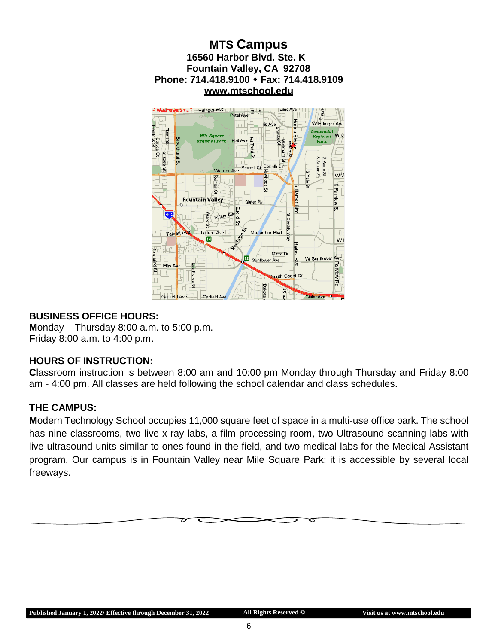



#### <span id="page-5-0"></span>**BUSINESS OFFICE HOURS:**

**M**onday – Thursday 8:00 a.m. to 5:00 p.m. **F**riday 8:00 a.m. to 4:00 p.m.

#### <span id="page-5-1"></span>**HOURS OF INSTRUCTION:**

**C**lassroom instruction is between 8:00 am and 10:00 pm Monday through Thursday and Friday 8:00 am - 4:00 pm. All classes are held following the school calendar and class schedules.

#### **THE CAMPUS:**

**M**odern Technology School occupies 11,000 square feet of space in a multi-use office park. The school has nine classrooms, two live x-ray labs, a film processing room, two Ultrasound scanning labs with live ultrasound units similar to ones found in the field, and two medical labs for the Medical Assistant program. Our campus is in Fountain Valley near Mile Square Park; it is accessible by several local freeways.

ద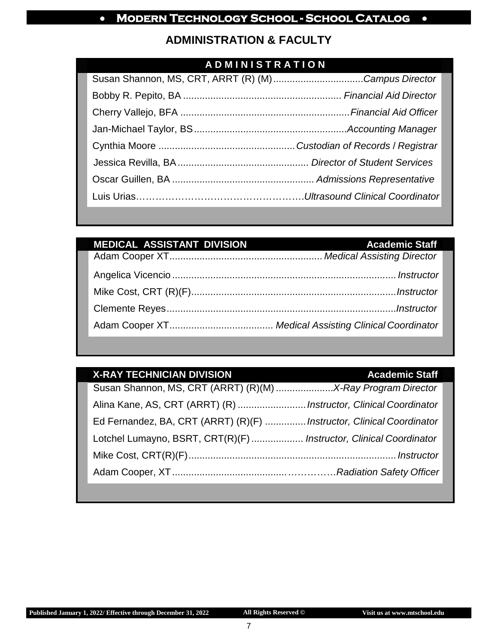## **ADMINISTRATION & FACULTY**

## **A D M I N I S T R A T I O N**

| Susan Shannon, MS, CRT, ARRT (R) (M) Campus Director |  |
|------------------------------------------------------|--|
|                                                      |  |
|                                                      |  |
|                                                      |  |
|                                                      |  |
|                                                      |  |
|                                                      |  |
|                                                      |  |

| <b>MEDICAL ASSISTANT DIVISION</b> | <b>Academic Staff</b> |
|-----------------------------------|-----------------------|
|                                   |                       |
|                                   |                       |
|                                   |                       |
|                                   |                       |
|                                   |                       |

## **X-RAY TECHNICIAN DIVISION Academic Staff**

| Alina Kane, AS, CRT (ARRT) (R)  Instructor, Clinical Coordinator      |  |
|-----------------------------------------------------------------------|--|
| Ed Fernandez, BA, CRT (ARRT) (R)(F)  Instructor, Clinical Coordinator |  |
| Lotchel Lumayno, BSRT, CRT(R)(F)  Instructor, Clinical Coordinator    |  |
|                                                                       |  |
|                                                                       |  |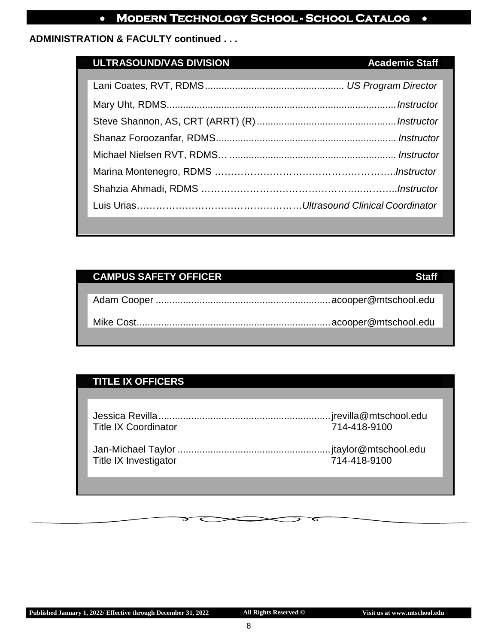#### **ADMINISTRATION & FACULTY continued . . .**

## **ULTRASOUND/VAS DIVISION Academic Staff**

| ULTNASOUND/VAS DIVISION (PORTUGALISMO PROGREMIIC SIGN) |  |
|--------------------------------------------------------|--|
|                                                        |  |
|                                                        |  |
|                                                        |  |
|                                                        |  |
|                                                        |  |
|                                                        |  |
|                                                        |  |
|                                                        |  |
|                                                        |  |
|                                                        |  |
|                                                        |  |

## **CAMPUS SAFETY OFFICER Staff Staff**

## **TITLE IX OFFICERS**

| <b>Title IX Coordinator</b> | 714-418-9100 |
|-----------------------------|--------------|
| Title IX Investigator       | 714-418-9100 |

ᠳ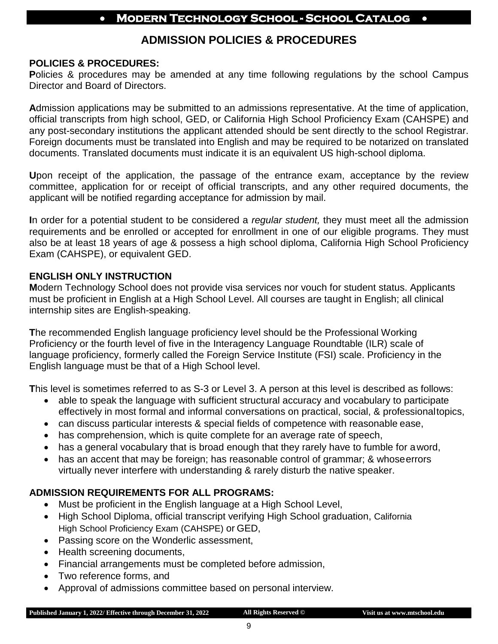## **ADMISSION POLICIES & PROCEDURES**

#### **POLICIES & PROCEDURES:**

**Policies & procedures may be amended at any time following regulations by the school Campus** Director and Board of Directors.

**A**dmission applications may be submitted to an admissions representative. At the time of application, official transcripts from high school, GED, or California High School Proficiency Exam (CAHSPE) and any post-secondary institutions the applicant attended should be sent directly to the school Registrar. Foreign documents must be translated into English and may be required to be notarized on translated documents. Translated documents must indicate it is an equivalent US high-school diploma.

**U**pon receipt of the application, the passage of the entrance exam, acceptance by the review committee, application for or receipt of official transcripts, and any other required documents, the applicant will be notified regarding acceptance for admission by mail.

**I**n order for a potential student to be considered a *regular student,* they must meet all the admission requirements and be enrolled or accepted for enrollment in one of our eligible programs. They must also be at least 18 years of age & possess a high school diploma, California High School Proficiency Exam (CAHSPE), or equivalent GED.

#### **ENGLISH ONLY INSTRUCTION**

**M**odern Technology School does not provide visa services nor vouch for student status. Applicants must be proficient in English at a High School Level. All courses are taught in English; all clinical internship sites are English-speaking.

**T**he recommended English language proficiency level should be the Professional Working Proficiency or the fourth level of five in the Interagency Language Roundtable (ILR) scale of language proficiency, formerly called the Foreign Service Institute (FSI) scale. Proficiency in the English language must be that of a High School level.

**T**his level is sometimes referred to as S-3 or Level 3. A person at this level is described as follows:

- able to speak the language with sufficient structural accuracy and vocabulary to participate effectively in most formal and informal conversations on practical, social, & professionaltopics,
- can discuss particular interests & special fields of competence with reasonable ease,
- has comprehension, which is quite complete for an average rate of speech,
- has a general vocabulary that is broad enough that they rarely have to fumble for aword,
- has an accent that may be foreign; has reasonable control of grammar; & whose errors virtually never interfere with understanding & rarely disturb the native speaker.

#### **ADMISSION REQUIREMENTS FOR ALL PROGRAMS:**

- Must be proficient in the English language at a High School Level,
- High School Diploma, official transcript verifying High School graduation, California High School Proficiency Exam (CAHSPE) or GED,
- Passing score on the Wonderlic assessment,
- Health screening documents,
- Financial arrangements must be completed before admission,
- Two reference forms, and
- Approval of admissions committee based on personal interview.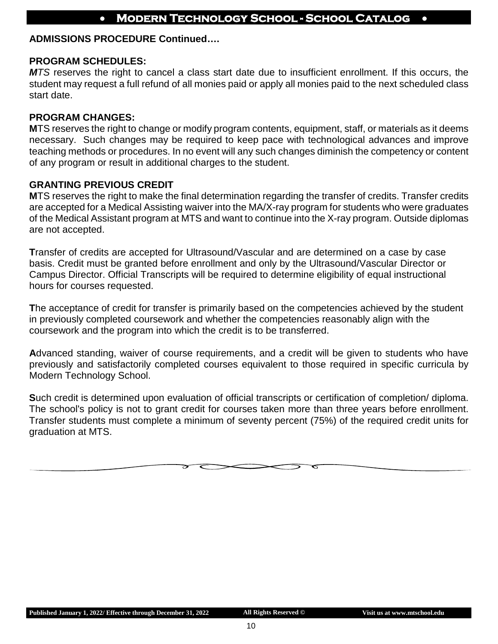#### **ADMISSIONS PROCEDURE Continued….**

#### **PROGRAM SCHEDULES:**

*MTS* reserves the right to cancel a class start date due to insufficient enrollment. If this occurs, the student may request a full refund of all monies paid or apply all monies paid to the next scheduled class start date.

#### **PROGRAM CHANGES:**

**M**TS reserves the right to change or modify program contents, equipment, staff, or materials as it deems necessary. Such changes may be required to keep pace with technological advances and improve teaching methods or procedures. In no event will any such changes diminish the competency or content of any program or result in additional charges to the student.

#### **GRANTING PREVIOUS CREDIT**

**M**TS reserves the right to make the final determination regarding the transfer of credits. Transfer credits are accepted for a Medical Assisting waiver into the MA/X-ray program for students who were graduates of the Medical Assistant program at MTS and want to continue into the X-ray program. Outside diplomas are not accepted.

**T**ransfer of credits are accepted for Ultrasound/Vascular and are determined on a case by case basis. Credit must be granted before enrollment and only by the Ultrasound/Vascular Director or Campus Director. Official Transcripts will be required to determine eligibility of equal instructional hours for courses requested.

**T**he acceptance of credit for transfer is primarily based on the competencies achieved by the student in previously completed coursework and whether the competencies reasonably align with the coursework and the program into which the credit is to be transferred.

**A**dvanced standing, waiver of course requirements, and a credit will be given to students who have previously and satisfactorily completed courses equivalent to those required in specific curricula by Modern Technology School.

**S**uch credit is determined upon evaluation of official transcripts or certification of completion/ diploma. The school's policy is not to grant credit for courses taken more than three years before enrollment. Transfer students must complete a minimum of seventy percent (75%) of the required credit units for graduation at MTS.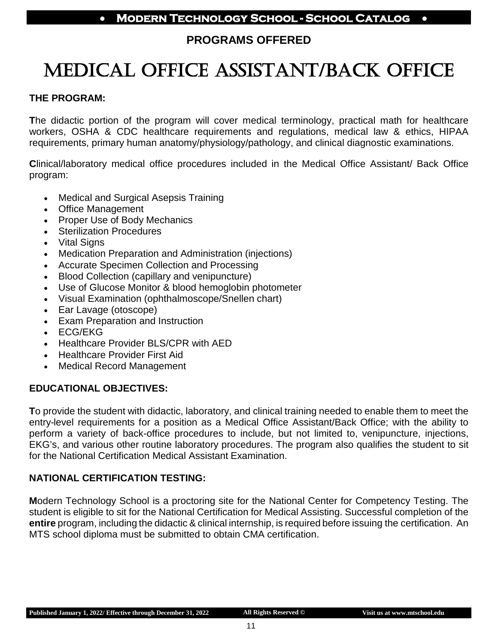## **PROGRAMS OFFERED**

## <span id="page-10-1"></span><span id="page-10-0"></span>MEDICAL OFFICE ASSISTANT/BACK OFFICE

#### **THE PROGRAM:**

**T**he didactic portion of the program will cover medical terminology, practical math for healthcare workers, OSHA & CDC healthcare requirements and regulations, medical law & ethics, HIPAA requirements, primary human anatomy/physiology/pathology, and clinical diagnostic examinations.

**C**linical/laboratory medical office procedures included in the Medical Office Assistant/ Back Office program:

- Medical and Surgical Asepsis Training
- Office Management
- Proper Use of Body Mechanics
- **Sterilization Procedures**
- Vital Signs
- Medication Preparation and Administration (injections)
- Accurate Specimen Collection and Processing
- Blood Collection (capillary and venipuncture)
- Use of Glucose Monitor & blood hemoglobin photometer
- Visual Examination (ophthalmoscope/Snellen chart)
- Ear Lavage (otoscope)
- Exam Preparation and Instruction
- ECG/EKG
- Healthcare Provider BLS/CPR with AED
- Healthcare Provider First Aid
- Medical Record Management

#### **EDUCATIONAL OBJECTIVES:**

**T**o provide the student with didactic, laboratory, and clinical training needed to enable them to meet the entry-level requirements for a position as a Medical Office Assistant/Back Office; with the ability to perform a variety of back-office procedures to include, but not limited to, venipuncture, injections, EKG's, and various other routine laboratory procedures. The program also qualifies the student to sit for the National Certification Medical Assistant Examination.

#### **NATIONAL CERTIFICATION TESTING:**

**M**odern Technology School is a proctoring site for the National Center for Competency Testing. The student is eligible to sit for the National Certification for Medical Assisting. Successful completion of the **entire** program, including the didactic & clinical internship, is required before issuing the certification. An MTS school diploma must be submitted to obtain CMA certification.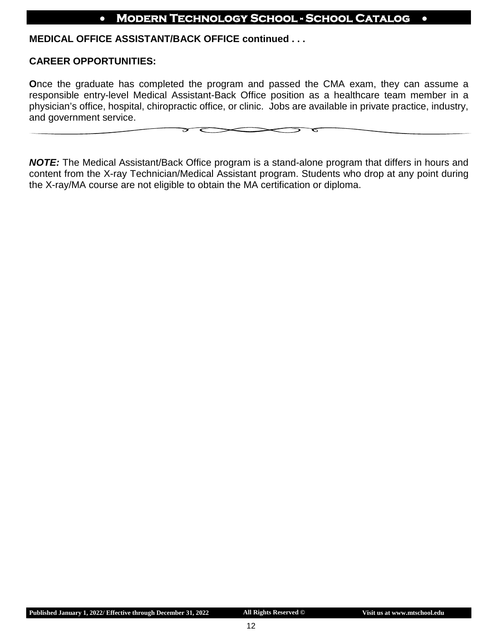#### **MEDICAL OFFICE ASSISTANT/BACK OFFICE continued . . .**

#### **CAREER OPPORTUNITIES:**

**O**nce the graduate has completed the program and passed the CMA exam, they can assume a responsible entry-level Medical Assistant-Back Office position as a healthcare team member in a physician's office, hospital, chiropractic office, or clinic. Jobs are available in private practice, industry, and government service.

↽

*NOTE:* The Medical Assistant/Back Office program is a stand-alone program that differs in hours and content from the X-ray Technician/Medical Assistant program. Students who drop at any point during the X-ray/MA course are not eligible to obtain the MA certification or diploma.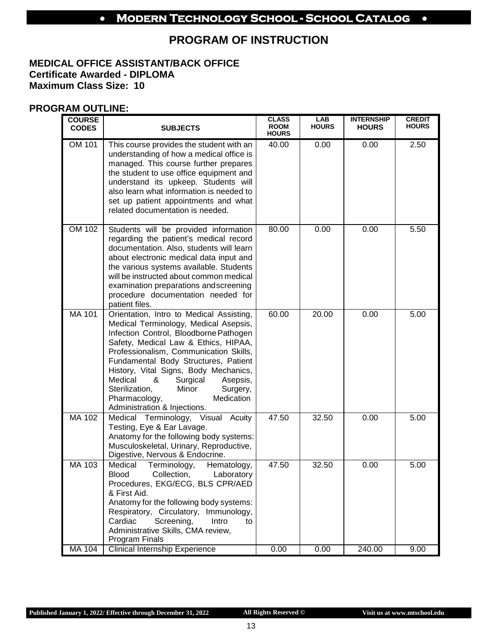## **PROGRAM OF INSTRUCTION**

#### **MEDICAL OFFICE ASSISTANT/BACK OFFICE Certificate Awarded - DIPLOMA Maximum Class Size: 10**

#### **PROGRAM OUTLINE:**

| <b>COURSE</b><br><b>CODES</b> | <b>SUBJECTS</b>                                                                                                                                                                                                                                                                                                                                                                                                                              | <b>CLASS</b><br><b>ROOM</b><br><b>HOURS</b> | LAB<br><b>HOURS</b> | <b>INTERNSHIP</b><br><b>HOURS</b> | <b>CREDIT</b><br><b>HOURS</b> |
|-------------------------------|----------------------------------------------------------------------------------------------------------------------------------------------------------------------------------------------------------------------------------------------------------------------------------------------------------------------------------------------------------------------------------------------------------------------------------------------|---------------------------------------------|---------------------|-----------------------------------|-------------------------------|
| OM 101                        | This course provides the student with an<br>understanding of how a medical office is<br>managed. This course further prepares<br>the student to use office equipment and<br>understand its upkeep. Students will<br>also learn what information is needed to<br>set up patient appointments and what<br>related documentation is needed.                                                                                                     | 40.00                                       | 0.00                | 0.00                              | 2.50                          |
| OM 102                        | Students will be provided information<br>regarding the patient's medical record<br>documentation. Also, students will learn<br>about electronic medical data input and<br>the various systems available. Students<br>will be instructed about common medical<br>examination preparations andscreening<br>procedure documentation needed for<br>patient files.                                                                                | 80.00                                       | 0.00                | 0.00                              | 5.50                          |
| MA 101                        | Orientation, Intro to Medical Assisting,<br>Medical Terminology, Medical Asepsis,<br>Infection Control, Bloodborne Pathogen<br>Safety, Medical Law & Ethics, HIPAA,<br>Professionalism, Communication Skills,<br>Fundamental Body Structures, Patient<br>History, Vital Signs, Body Mechanics,<br>Medical<br>&<br>Surgical<br>Asepsis,<br>Sterilization,<br>Minor<br>Surgery,<br>Medication<br>Pharmacology,<br>Administration & Injections. | 60.00                                       | 20.00               | 0.00                              | 5.00                          |
| MA 102                        | Medical Terminology, Visual Acuity<br>Testing, Eye & Ear Lavage.<br>Anatomy for the following body systems:<br>Musculoskeletal, Urinary, Reproductive,<br>Digestive, Nervous & Endocrine.                                                                                                                                                                                                                                                    | 47.50                                       | 32.50               | 0.00                              | 5.00                          |
| MA 103                        | Medical<br>Terminology,<br>Hematology,<br><b>Blood</b><br>Collection,<br>Laboratory<br>Procedures, EKG/ECG, BLS CPR/AED<br>& First Aid.<br>Anatomy for the following body systems:<br>Respiratory, Circulatory, Immunology,<br>Cardiac<br>Screening,<br>Intro<br>to<br>Administrative Skills, CMA review,<br>Program Finals                                                                                                                  | 47.50                                       | 32.50               | 0.00                              | 5.00                          |
| <b>MA 104</b>                 | <b>Clinical Internship Experience</b>                                                                                                                                                                                                                                                                                                                                                                                                        | 0.00                                        | 0.00                | 240.00                            | 9.00                          |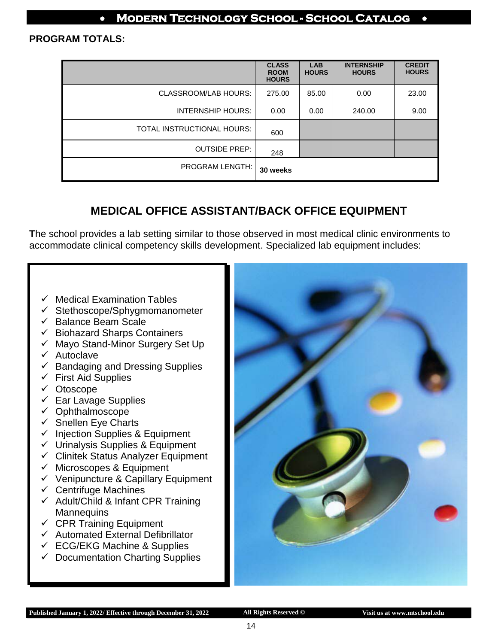#### **PROGRAM TOTALS:**

|                            | <b>CLASS</b><br><b>ROOM</b><br><b>HOURS</b> | <b>LAB</b><br><b>HOURS</b> | <b>INTERNSHIP</b><br><b>HOURS</b> | <b>CREDIT</b><br><b>HOURS</b> |
|----------------------------|---------------------------------------------|----------------------------|-----------------------------------|-------------------------------|
| CLASSROOM/LAB HOURS:       | 275.00                                      | 85.00                      | 0.00                              | 23.00                         |
| INTERNSHIP HOURS:          | 0.00                                        | 0.00                       | 240.00                            | 9.00                          |
| TOTAL INSTRUCTIONAL HOURS: | 600                                         |                            |                                   |                               |
| <b>OUTSIDE PREP:</b>       | 248                                         |                            |                                   |                               |
| <b>PROGRAM LENGTH:</b>     | 30 weeks                                    |                            |                                   |                               |

## **MEDICAL OFFICE ASSISTANT/BACK OFFICE EQUIPMENT**

**T**he school provides a lab setting similar to those observed in most medical clinic environments to accommodate clinical competency skills development. Specialized lab equipment includes:

- $\checkmark$  Medical Examination Tables
- $\checkmark$  Stethoscope/Sphygmomanometer
- $\checkmark$  Balance Beam Scale
- $\checkmark$  Biohazard Sharps Containers
- $\checkmark$  Mayo Stand-Minor Surgery Set Up
- $\checkmark$  Autoclave
- $\checkmark$  Bandaging and Dressing Supplies
- $\checkmark$  First Aid Supplies
- Otoscope
- $\checkmark$  Ear Lavage Supplies
- $\checkmark$  Ophthalmoscope
- $\checkmark$  Snellen Eye Charts
- $\checkmark$  Injection Supplies & Equipment
- $\checkmark$  Urinalysis Supplies & Equipment
- $\checkmark$  Clinitek Status Analyzer Equipment
- $\checkmark$  Microscopes & Equipment
- $\checkmark$  Venipuncture & Capillary Equipment
- $\checkmark$  Centrifuge Machines
- $\checkmark$  Adult/Child & Infant CPR Training **Mannequins**
- $\checkmark$  CPR Training Equipment
- $\checkmark$  Automated External Defibrillator
- $\checkmark$  ECG/EKG Machine & Supplies
- $\checkmark$  Documentation Charting Supplies

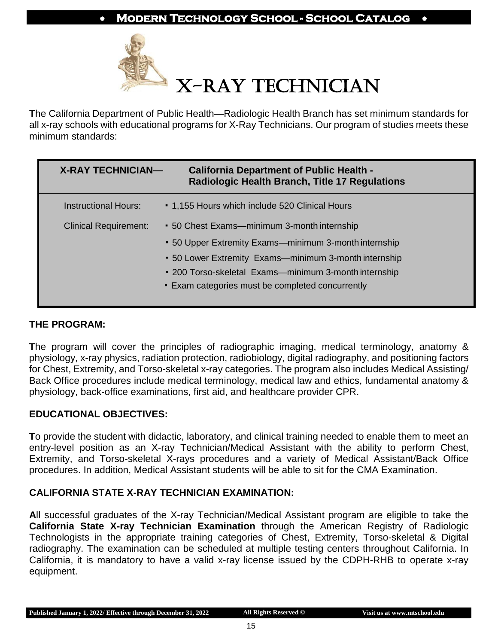

**T**he California Department of Public Health—Radiologic Health Branch has set minimum standards for all x-ray schools with educational programs for X-Ray Technicians. Our program of studies meets these minimum standards:

| <b>X-RAY TECHNICIAN—</b>     | <b>California Department of Public Health -</b><br><b>Radiologic Health Branch, Title 17 Regulations</b> |
|------------------------------|----------------------------------------------------------------------------------------------------------|
| <b>Instructional Hours:</b>  | • 1,155 Hours which include 520 Clinical Hours                                                           |
| <b>Clinical Requirement:</b> | • 50 Chest Exams—minimum 3-month internship                                                              |
|                              | • 50 Upper Extremity Exams—minimum 3-month internship                                                    |
|                              | • 50 Lower Extremity Exams—minimum 3-month internship                                                    |
|                              | • 200 Torso-skeletal Exams—minimum 3-month internship                                                    |
|                              | . Exam categories must be completed concurrently                                                         |
|                              |                                                                                                          |

#### **THE PROGRAM:**

**T**he program will cover the principles of radiographic imaging, medical terminology, anatomy & physiology, x-ray physics, radiation protection, radiobiology, digital radiography, and positioning factors for Chest, Extremity, and Torso-skeletal x-ray categories. The program also includes Medical Assisting/ Back Office procedures include medical terminology, medical law and ethics, fundamental anatomy & physiology, back-office examinations, first aid, and healthcare provider CPR.

#### **EDUCATIONAL OBJECTIVES:**

**T**o provide the student with didactic, laboratory, and clinical training needed to enable them to meet an entry-level position as an X-ray Technician/Medical Assistant with the ability to perform Chest, Extremity, and Torso-skeletal X-rays procedures and a variety of Medical Assistant/Back Office procedures. In addition, Medical Assistant students will be able to sit for the CMA Examination.

#### **CALIFORNIA STATE X-RAY TECHNICIAN EXAMINATION:**

**A**ll successful graduates of the X-ray Technician/Medical Assistant program are eligible to take the **California State X-ray Technician Examination** through the American Registry of Radiologic Technologists in the appropriate training categories of Chest, Extremity, Torso-skeletal & Digital radiography. The examination can be scheduled at multiple testing centers throughout California. In California, it is mandatory to have a valid x-ray license issued by the CDPH-RHB to operate x-ray equipment.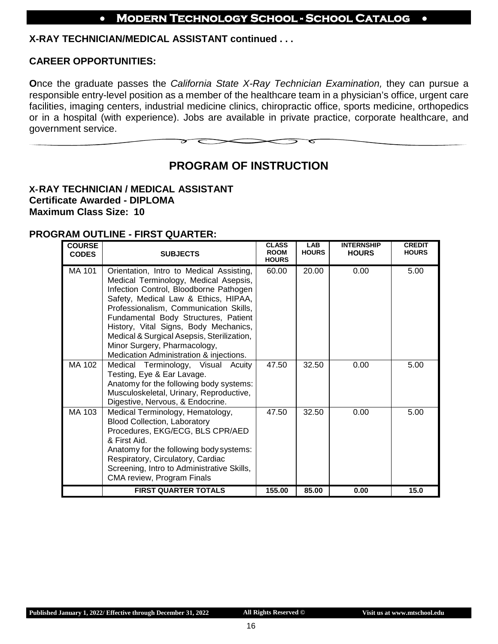#### **X-RAY TECHNICIAN/MEDICAL ASSISTANT continued . . .**

#### **CAREER OPPORTUNITIES:**

**O**nce the graduate passes the *California State X-Ray Technician Examination,* they can pursue a responsible entry-level position as a member of the healthcare team in a physician's office, urgent care facilities, imaging centers, industrial medicine clinics, chiropractic office, sports medicine, orthopedics or in a hospital (with experience). Jobs are available in private practice, corporate healthcare, and government service.

## **PROGRAM OF INSTRUCTION**

#### <span id="page-15-0"></span>**X-RAY TECHNICIAN / MEDICAL ASSISTANT Certificate Awarded - DIPLOMA Maximum Class Size: 10**

#### **PROGRAM OUTLINE - FIRST QUARTER:**

| <b>COURSE</b><br><b>CODES</b> | <b>SUBJECTS</b>                                                                                                                                                                                                                                                                                                                                                                                                         | <b>CLASS</b><br><b>ROOM</b><br><b>HOURS</b> | <b>LAB</b><br><b>HOURS</b> | <b>INTERNSHIP</b><br><b>HOURS</b> | <b>CREDIT</b><br><b>HOURS</b> |
|-------------------------------|-------------------------------------------------------------------------------------------------------------------------------------------------------------------------------------------------------------------------------------------------------------------------------------------------------------------------------------------------------------------------------------------------------------------------|---------------------------------------------|----------------------------|-----------------------------------|-------------------------------|
| <b>MA 101</b>                 | Orientation, Intro to Medical Assisting,<br>Medical Terminology, Medical Asepsis,<br>Infection Control, Bloodborne Pathogen<br>Safety, Medical Law & Ethics, HIPAA,<br>Professionalism, Communication Skills,<br>Fundamental Body Structures, Patient<br>History, Vital Signs, Body Mechanics,<br>Medical & Surgical Asepsis, Sterilization,<br>Minor Surgery, Pharmacology,<br>Medication Administration & injections. | 60.00                                       | 20.00                      | 0.00                              | 5.00                          |
| MA 102                        | Medical Terminology, Visual Acuity<br>Testing, Eye & Ear Lavage.<br>Anatomy for the following body systems:<br>Musculoskeletal, Urinary, Reproductive,<br>Digestive, Nervous, & Endocrine.                                                                                                                                                                                                                              | 47.50                                       | 32.50                      | 0.00                              | 5.00                          |
| MA 103                        | Medical Terminology, Hematology,<br><b>Blood Collection, Laboratory</b><br>Procedures, EKG/ECG, BLS CPR/AED<br>& First Aid.<br>Anatomy for the following body systems:<br>Respiratory, Circulatory, Cardiac<br>Screening, Intro to Administrative Skills,<br>CMA review, Program Finals                                                                                                                                 | 47.50                                       | 32.50                      | 0.00                              | 5.00                          |
|                               | <b>FIRST QUARTER TOTALS</b>                                                                                                                                                                                                                                                                                                                                                                                             | 155.00                                      | 85.00                      | 0.00                              | 15.0                          |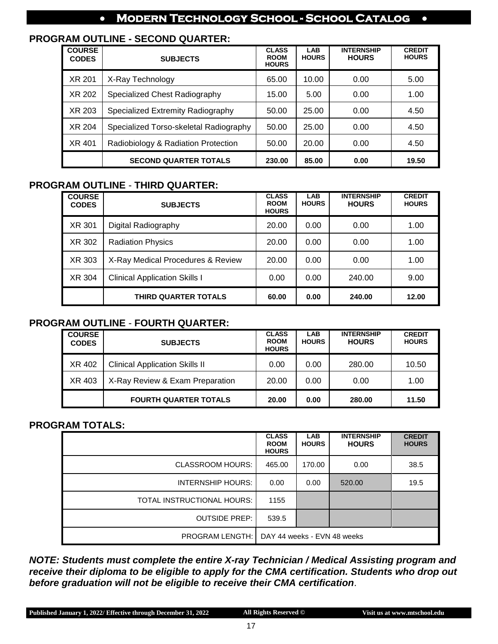#### **PROGRAM OUTLINE - SECOND QUARTER:**

| <b>COURSE</b><br><b>CODES</b> | <b>SUBJECTS</b>                        | <b>CLASS</b><br><b>ROOM</b><br><b>HOURS</b> | <b>LAB</b><br><b>HOURS</b> | <b>INTERNSHIP</b><br><b>HOURS</b> | <b>CREDIT</b><br><b>HOURS</b> |
|-------------------------------|----------------------------------------|---------------------------------------------|----------------------------|-----------------------------------|-------------------------------|
| XR 201                        | X-Ray Technology                       | 65.00                                       | 10.00                      | 0.00                              | 5.00                          |
| XR 202                        | Specialized Chest Radiography          | 15.00                                       | 5.00                       | 0.00                              | 1.00                          |
| XR 203                        | Specialized Extremity Radiography      | 50.00                                       | 25.00                      | 0.00                              | 4.50                          |
| XR 204                        | Specialized Torso-skeletal Radiography | 50.00                                       | 25.00                      | 0.00                              | 4.50                          |
| XR 401                        | Radiobiology & Radiation Protection    | 50.00                                       | 20.00                      | 0.00                              | 4.50                          |
|                               | <b>SECOND QUARTER TOTALS</b>           | 230.00                                      | 85.00                      | 0.00                              | 19.50                         |

#### **PROGRAM OUTLINE** - **THIRD QUARTER:**

| <b>COURSE</b><br><b>CODES</b> | <b>SUBJECTS</b>                      | <b>CLASS</b><br><b>ROOM</b><br><b>HOURS</b> | <b>LAB</b><br><b>HOURS</b> | <b>INTERNSHIP</b><br><b>HOURS</b> | <b>CREDIT</b><br><b>HOURS</b> |
|-------------------------------|--------------------------------------|---------------------------------------------|----------------------------|-----------------------------------|-------------------------------|
| XR 301                        | Digital Radiography                  | 20.00                                       | 0.00                       | 0.00                              | 1.00                          |
| XR 302                        | <b>Radiation Physics</b>             | 20.00                                       | 0.00                       | 0.00                              | 1.00                          |
| XR 303                        | X-Ray Medical Procedures & Review    | 20.00                                       | 0.00                       | 0.00                              | 1.00                          |
| XR 304                        | <b>Clinical Application Skills I</b> | 0.00                                        | 0.00                       | 240.00                            | 9.00                          |
|                               | <b>THIRD QUARTER TOTALS</b>          | 60.00                                       | 0.00                       | 240.00                            | 12.00                         |

#### **PROGRAM OUTLINE** - **FOURTH QUARTER:**

| <b>COURSE</b><br><b>CODES</b> | <b>SUBJECTS</b>                       | <b>CLASS</b><br><b>ROOM</b><br><b>HOURS</b> | <b>LAB</b><br><b>HOURS</b> | <b>INTERNSHIP</b><br><b>HOURS</b> | <b>CREDIT</b><br><b>HOURS</b> |
|-------------------------------|---------------------------------------|---------------------------------------------|----------------------------|-----------------------------------|-------------------------------|
| XR 402                        | <b>Clinical Application Skills II</b> | 0.00                                        | 0.00                       | 280.00                            | 10.50                         |
| XR 403                        | X-Ray Review & Exam Preparation       | 20.00                                       | 0.00                       | 0.00                              | 1.00                          |
|                               | <b>FOURTH QUARTER TOTALS</b>          | 20.00                                       | 0.00                       | 280.00                            | 11.50                         |

#### **PROGRAM TOTALS:**

|                            | <b>CLASS</b><br><b>ROOM</b><br><b>HOURS</b> | <b>LAB</b><br><b>HOURS</b> | <b>INTERNSHIP</b><br><b>HOURS</b> | <b>CREDIT</b><br><b>HOURS</b> |
|----------------------------|---------------------------------------------|----------------------------|-----------------------------------|-------------------------------|
| <b>CLASSROOM HOURS:</b>    | 465.00                                      | 170.00                     | 0.00                              | 38.5                          |
| INTERNSHIP HOURS:          | 0.00                                        | 0.00                       | 520.00                            | 19.5                          |
| TOTAL INSTRUCTIONAL HOURS: | 1155                                        |                            |                                   |                               |
| <b>OUTSIDE PREP:</b>       | 539.5                                       |                            |                                   |                               |
| <b>PROGRAM LENGTH: I</b>   | DAY 44 weeks - EVN 48 weeks                 |                            |                                   |                               |

*NOTE: Students must complete the entire X-ray Technician / Medical Assisting program and receive their diploma to be eligible to apply for the CMA certification. Students who drop out before graduation will not be eligible to receive their CMA certification*.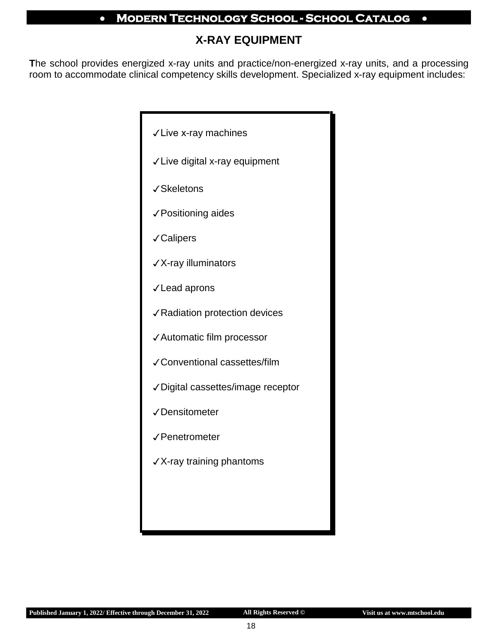## **X-RAY EQUIPMENT**

**T**he school provides energized x-ray units and practice/non-energized x-ray units, and a processing room to accommodate clinical competency skills development. Specialized x-ray equipment includes:

| √ Live x-ray machines             |
|-----------------------------------|
| √ Live digital x-ray equipment    |
| √Skeletons                        |
| √ Positioning aides               |
| √Calipers                         |
| √X-ray illuminators               |
| √ Lead aprons                     |
| √Radiation protection devices     |
| √Automatic film processor         |
| √ Conventional cassettes/film     |
| √Digital cassettes/image receptor |
| √Densitometer                     |
| √Penetrometer                     |
| √X-ray training phantoms          |
|                                   |
|                                   |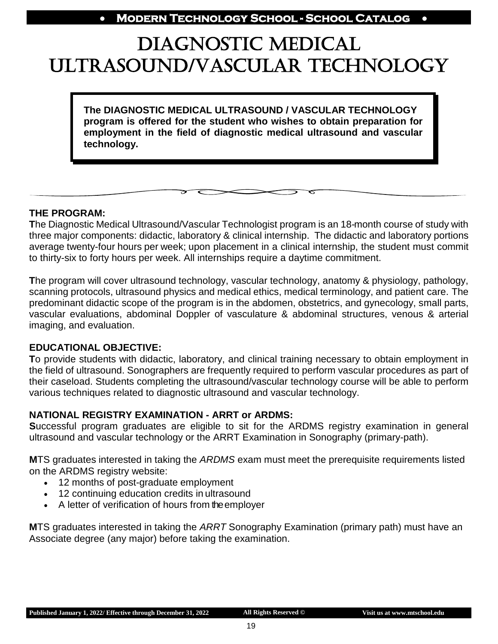## <span id="page-18-0"></span>DIAGNOSTIC MEDICAL ULTRASOUND/VASCULAR TECHNOLOGY

**The DIAGNOSTIC MEDICAL ULTRASOUND / VASCULAR TECHNOLOGY program is offered for the student who wishes to obtain preparation for employment in the field of diagnostic medical ultrasound and vascular technology.**

#### **THE PROGRAM:**

 $\overline{\phantom{a}}$ 

**T**he Diagnostic Medical Ultrasound/Vascular Technologist program is an 18-month course of study with three major components: didactic, laboratory & clinical internship. The didactic and laboratory portions average twenty-four hours per week; upon placement in a clinical internship, the student must commit to thirty-six to forty hours per week. All internships require a daytime commitment.

**T**he program will cover ultrasound technology, vascular technology, anatomy & physiology, pathology, scanning protocols, ultrasound physics and medical ethics, medical terminology, and patient care. The predominant didactic scope of the program is in the abdomen, obstetrics, and gynecology, small parts, vascular evaluations, abdominal Doppler of vasculature & abdominal structures, venous & arterial imaging, and evaluation.

#### **EDUCATIONAL OBJECTIVE:**

**T**o provide students with didactic, laboratory, and clinical training necessary to obtain employment in the field of ultrasound. Sonographers are frequently required to perform vascular procedures as part of their caseload. Students completing the ultrasound/vascular technology course will be able to perform various techniques related to diagnostic ultrasound and vascular technology.

#### **NATIONAL REGISTRY EXAMINATION - ARRT or ARDMS:**

**S**uccessful program graduates are eligible to sit for the ARDMS registry examination in general ultrasound and vascular technology or the ARRT Examination in Sonography (primary-path).

**M**TS graduates interested in taking the *ARDMS* exam must meet the prerequisite requirements listed on the ARDMS registry website:

- 12 months of post-graduate employment
- 12 continuing education credits in ultrasound
- A letter of verification of hours from the employer

**M**TS graduates interested in taking the *ARRT* Sonography Examination (primary path) must have an Associate degree (any major) before taking the examination.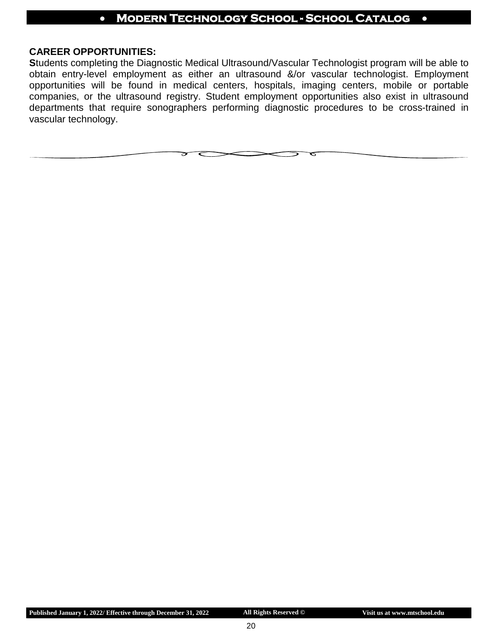#### **CAREER OPPORTUNITIES:**

**S**tudents completing the Diagnostic Medical Ultrasound/Vascular Technologist program will be able to obtain entry-level employment as either an ultrasound &/or vascular technologist. Employment opportunities will be found in medical centers, hospitals, imaging centers, mobile or portable companies, or the ultrasound registry. Student employment opportunities also exist in ultrasound departments that require sonographers performing diagnostic procedures to be cross-trained in vascular technology.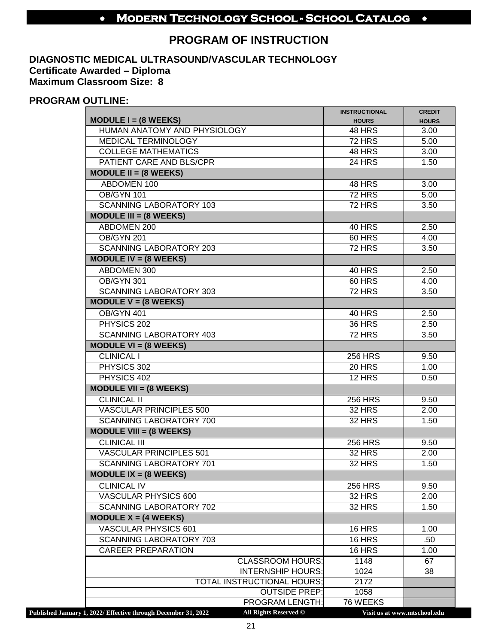## **PROGRAM OF INSTRUCTION**

#### **DIAGNOSTIC MEDICAL ULTRASOUND/VASCULAR TECHNOLOGY Certificate Awarded – Diploma Maximum Classroom Size: 8**

#### **PROGRAM OUTLINE:**

|                                                                |                                                     | <b>INSTRUCTIONAL</b> | <b>CREDIT</b>                |
|----------------------------------------------------------------|-----------------------------------------------------|----------------------|------------------------------|
| MODULE $I = (8 \text{ WEEKS})$                                 |                                                     | <b>HOURS</b>         | <b>HOURS</b>                 |
| HUMAN ANATOMY AND PHYSIOLOGY                                   |                                                     | <b>48 HRS</b>        | 3.00                         |
| <b>MEDICAL TERMINOLOGY</b>                                     |                                                     | <b>72 HRS</b>        | 5.00                         |
| <b>COLLEGE MATHEMATICS</b>                                     |                                                     | 48 HRS               | 3.00                         |
| PATIENT CARE AND BLS/CPR                                       |                                                     | <b>24 HRS</b>        | 1.50                         |
| MODULE II = $(8 \text{ WEEKS})$                                |                                                     |                      |                              |
| ABDOMEN 100                                                    |                                                     | 48 HRS               | 3.00                         |
| <b>OB/GYN 101</b>                                              |                                                     | $72$ HRS             | 5.00                         |
| <b>SCANNING LABORATORY 103</b>                                 |                                                     | <b>72 HRS</b>        | 3.50                         |
| $MODULE III = (8 WEEKS)$                                       |                                                     |                      |                              |
| ABDOMEN 200                                                    |                                                     | <b>40 HRS</b>        | 2.50                         |
| <b>OB/GYN 201</b>                                              |                                                     | 60 HRS               | 4.00                         |
| <b>SCANNING LABORATORY 203</b>                                 |                                                     | <b>72 HRS</b>        | $\overline{3.50}$            |
| MODULE IV = $(8$ WEEKS)                                        |                                                     |                      |                              |
| ABDOMEN 300                                                    |                                                     | <b>40 HRS</b>        | 2.50                         |
| OB/GYN 301                                                     |                                                     | <b>60 HRS</b>        | 4.00                         |
| <b>SCANNING LABORATORY 303</b>                                 |                                                     | <b>72 HRS</b>        | 3.50                         |
| MODULE $V = (8 \text{ WEEKS})$                                 |                                                     |                      |                              |
| <b>OB/GYN 401</b>                                              |                                                     | <b>40 HRS</b>        | 2.50                         |
| PHYSICS 202                                                    |                                                     | <b>36 HRS</b>        | 2.50                         |
| <b>SCANNING LABORATORY 403</b>                                 |                                                     | <b>72 HRS</b>        | 3.50                         |
| MODULE $VI = (8 \text{ WEEKS})$                                |                                                     |                      |                              |
| <b>CLINICAL I</b>                                              |                                                     | <b>256 HRS</b>       | 9.50                         |
| PHYSICS 302                                                    |                                                     | <b>20 HRS</b>        | 1.00                         |
| PHYSICS 402                                                    |                                                     | $12$ HRS             | 0.50                         |
| MODULE VII = $(8 \text{ WEEKS})$                               |                                                     |                      |                              |
| <b>CLINICAL II</b>                                             |                                                     | <b>256 HRS</b>       | 9.50                         |
| <b>VASCULAR PRINCIPLES 500</b>                                 |                                                     | <b>32 HRS</b>        | 2.00                         |
| <b>SCANNING LABORATORY 700</b>                                 |                                                     | <b>32 HRS</b>        | 1.50                         |
| MODULE VIII = $(8 \text{ WEEKS})$                              |                                                     |                      |                              |
| <b>CLINICAL III</b>                                            |                                                     | <b>256 HRS</b>       | 9.50                         |
| <b>VASCULAR PRINCIPLES 501</b>                                 |                                                     | <b>32 HRS</b>        | 2.00                         |
| <b>SCANNING LABORATORY 701</b>                                 |                                                     | <b>32 HRS</b>        | 1.50                         |
| MODULE $IX = (8 \text{ WEEKS})$                                |                                                     |                      |                              |
| <b>CLINICAL IV</b>                                             |                                                     | <b>256 HRS</b>       | 9.50                         |
| <b>VASCULAR PHYSICS 600</b>                                    |                                                     | <b>32 HRS</b>        | 2.00                         |
| <b>SCANNING LABORATORY 702</b>                                 |                                                     | <b>32 HRS</b>        | 1.50                         |
| MODULE $X = (4 \text{ WEEKS})$                                 |                                                     |                      |                              |
| <b>VASCULAR PHYSICS 601</b>                                    |                                                     | <b>16 HRS</b>        | 1.00                         |
| <b>SCANNING LABORATORY 703</b>                                 |                                                     | <b>16 HRS</b>        | .50                          |
| <b>CAREER PREPARATION</b>                                      |                                                     | <b>16 HRS</b>        | 1.00                         |
|                                                                |                                                     |                      |                              |
|                                                                | <b>CLASSROOM HOURS:</b><br><b>INTERNSHIP HOURS:</b> | 1148                 | 67                           |
|                                                                | <b>TOTAL INSTRUCTIONAL HOURS;</b>                   | 1024<br>2172         | 38                           |
|                                                                | <b>OUTSIDE PREP:</b>                                | 1058                 |                              |
|                                                                | <b>PROGRAM LENGTH:</b>                              | 76 WEEKS             |                              |
| Published January 1, 2022/ Effective through December 31, 2022 | All Rights Reserved ©                               |                      | Visit us at www.mtschool.edu |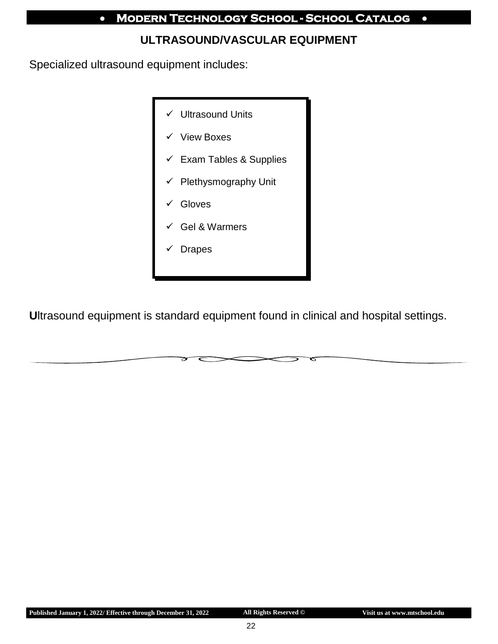## **ULTRASOUND/VASCULAR EQUIPMENT**

Specialized ultrasound equipment includes:



**U**ltrasound equipment is standard equipment found in clinical and hospital settings.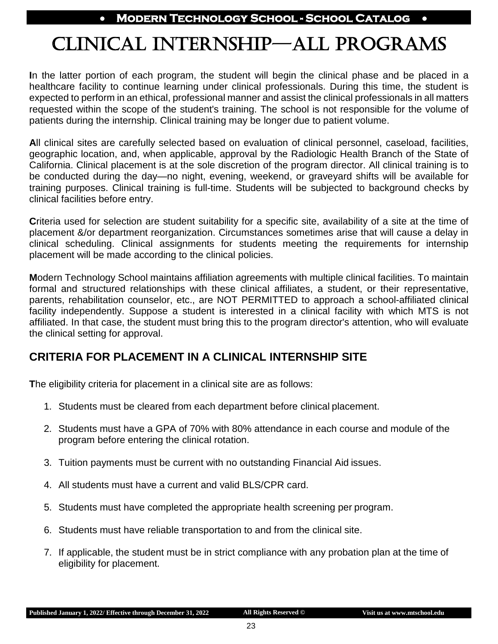## CLINICAL INTERNSHIP—ALL PROGRAMS

**I**n the latter portion of each program, the student will begin the clinical phase and be placed in a healthcare facility to continue learning under clinical professionals. During this time, the student is expected to perform in an ethical, professional manner and assist the clinical professionals in all matters requested within the scope of the student's training. The school is not responsible for the volume of patients during the internship. Clinical training may be longer due to patient volume.

**A**ll clinical sites are carefully selected based on evaluation of clinical personnel, caseload, facilities, geographic location, and, when applicable, approval by the Radiologic Health Branch of the State of California. Clinical placement is at the sole discretion of the program director. All clinical training is to be conducted during the day—no night, evening, weekend, or graveyard shifts will be available for training purposes. Clinical training is full-time. Students will be subjected to background checks by clinical facilities before entry.

**C**riteria used for selection are student suitability for a specific site, availability of a site at the time of placement &/or department reorganization. Circumstances sometimes arise that will cause a delay in clinical scheduling. Clinical assignments for students meeting the requirements for internship placement will be made according to the clinical policies.

**M**odern Technology School maintains affiliation agreements with multiple clinical facilities. To maintain formal and structured relationships with these clinical affiliates, a student, or their representative, parents, rehabilitation counselor, etc., are NOT PERMITTED to approach a school-affiliated clinical facility independently. Suppose a student is interested in a clinical facility with which MTS is not affiliated. In that case, the student must bring this to the program director's attention, who will evaluate the clinical setting for approval.

## **CRITERIA FOR PLACEMENT IN A CLINICAL INTERNSHIP SITE**

**T**he eligibility criteria for placement in a clinical site are as follows:

- 1. Students must be cleared from each department before clinical placement.
- 2. Students must have a GPA of 70% with 80% attendance in each course and module of the program before entering the clinical rotation.
- 3. Tuition payments must be current with no outstanding Financial Aid issues.
- 4. All students must have a current and valid BLS/CPR card.
- 5. Students must have completed the appropriate health screening per program.
- 6. Students must have reliable transportation to and from the clinical site.
- 7. If applicable, the student must be in strict compliance with any probation plan at the time of eligibility for placement.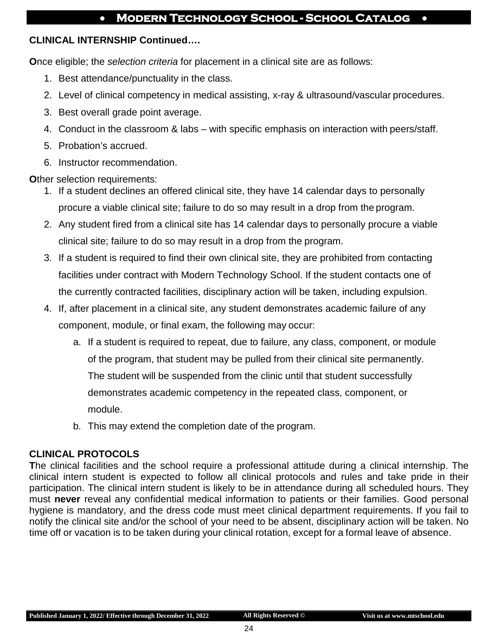#### **CLINICAL INTERNSHIP Continued….**

**O**nce eligible; the *selection criteria* for placement in a clinical site are as follows:

- 1. Best attendance/punctuality in the class.
- 2. Level of clinical competency in medical assisting, x-ray & ultrasound/vascular procedures.
- 3. Best overall grade point average.
- 4. Conduct in the classroom & labs with specific emphasis on interaction with peers/staff.
- 5. Probation's accrued.
- 6. Instructor recommendation.

**Other selection requirements:** 

- 1. If a student declines an offered clinical site, they have 14 calendar days to personally procure a viable clinical site; failure to do so may result in a drop from the program.
- 2. Any student fired from a clinical site has 14 calendar days to personally procure a viable clinical site; failure to do so may result in a drop from the program.
- 3. If a student is required to find their own clinical site, they are prohibited from contacting facilities under contract with Modern Technology School. If the student contacts one of the currently contracted facilities, disciplinary action will be taken, including expulsion.
- 4. If, after placement in a clinical site, any student demonstrates academic failure of any component, module, or final exam, the following may occur:
	- a. If a student is required to repeat, due to failure, any class, component, or module of the program, that student may be pulled from their clinical site permanently. The student will be suspended from the clinic until that student successfully demonstrates academic competency in the repeated class, component, or module.
	- b. This may extend the completion date of the program.

## **CLINICAL PROTOCOLS**

**T**he clinical facilities and the school require a professional attitude during a clinical internship. The clinical intern student is expected to follow all clinical protocols and rules and take pride in their participation. The clinical intern student is likely to be in attendance during all scheduled hours. They must **never** reveal any confidential medical information to patients or their families. Good personal hygiene is mandatory, and the dress code must meet clinical department requirements. If you fail to notify the clinical site and/or the school of your need to be absent, disciplinary action will be taken. No time off or vacation is to be taken during your clinical rotation, except for a formal leave of absence.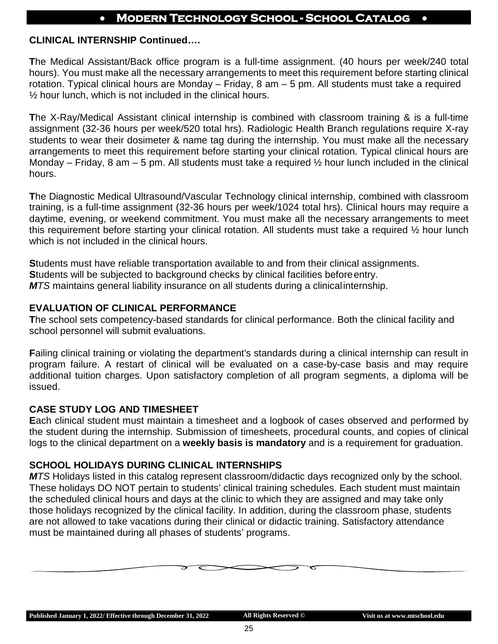#### **CLINICAL INTERNSHIP Continued….**

**T**he Medical Assistant/Back office program is a full-time assignment. (40 hours per week/240 total hours). You must make all the necessary arrangements to meet this requirement before starting clinical rotation. Typical clinical hours are Monday – Friday, 8 am – 5 pm. All students must take a required  $\frac{1}{2}$  hour lunch, which is not included in the clinical hours.

**T**he X-Ray/Medical Assistant clinical internship is combined with classroom training & is a full-time assignment (32-36 hours per week/520 total hrs). Radiologic Health Branch regulations require X-ray students to wear their dosimeter & name tag during the internship. You must make all the necessary arrangements to meet this requirement before starting your clinical rotation. Typical clinical hours are Monday – Friday, 8 am – 5 pm. All students must take a required  $\frac{1}{2}$  hour lunch included in the clinical hours.

**T**he Diagnostic Medical Ultrasound/Vascular Technology clinical internship, combined with classroom training, is a full-time assignment (32-36 hours per week/1024 total hrs). Clinical hours may require a daytime, evening, or weekend commitment. You must make all the necessary arrangements to meet this requirement before starting your clinical rotation. All students must take a required ½ hour lunch which is not included in the clinical hours.

**S**tudents must have reliable transportation available to and from their clinical assignments. **S**tudents will be subjected to background checks by clinical facilities beforeentry. *MTS* maintains general liability insurance on all students during a clinicalinternship.

#### **EVALUATION OF CLINICAL PERFORMANCE**

**T**he school sets competency-based standards for clinical performance. Both the clinical facility and school personnel will submit evaluations.

**F**ailing clinical training or violating the department's standards during a clinical internship can result in program failure. A restart of clinical will be evaluated on a case-by-case basis and may require additional tuition charges. Upon satisfactory completion of all program segments, a diploma will be issued.

#### **CASE STUDY LOG AND TIMESHEET**

**E**ach clinical student must maintain a timesheet and a logbook of cases observed and performed by the student during the internship. Submission of timesheets, procedural counts, and copies of clinical logs to the clinical department on a **weekly basis is mandatory** and is a requirement for graduation.

#### **SCHOOL HOLIDAYS DURING CLINICAL INTERNSHIPS**

*MTS* Holidays listed in this catalog represent classroom/didactic days recognized only by the school. These holidays DO NOT pertain to students' clinical training schedules. Each student must maintain the scheduled clinical hours and days at the clinic to which they are assigned and may take only those holidays recognized by the clinical facility. In addition, during the classroom phase, students are not allowed to take vacations during their clinical or didactic training. Satisfactory attendance must be maintained during all phases of students' programs.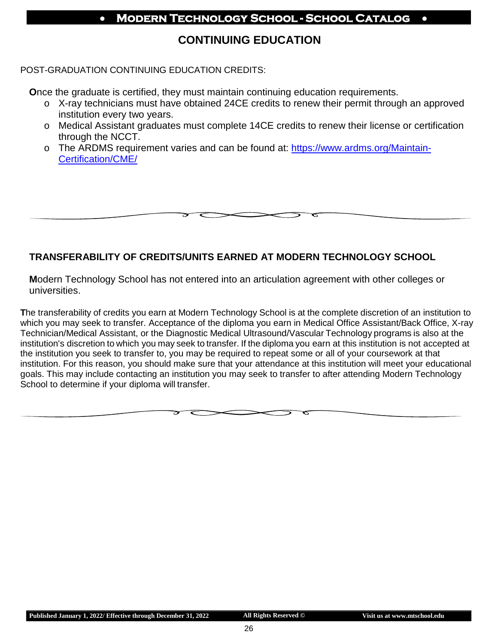## **CONTINUING EDUCATION**

#### POST-GRADUATION CONTINUING EDUCATION CREDITS:

**O**nce the graduate is certified, they must maintain continuing education requirements.

- o X-ray technicians must have obtained 24CE credits to renew their permit through an approved institution every two years.
- o Medical Assistant graduates must complete 14CE credits to renew their license or certification through the NCCT.
- o The ARDMS requirement varies and can be found at: [https://www.ardms.org/Maintain-](https://www.ardms.org/Maintain-Certification/CME/)[Certification/CME/](https://www.ardms.org/Maintain-Certification/CME/)

#### **TRANSFERABILITY OF CREDITS/UNITS EARNED AT MODERN TECHNOLOGY SCHOOL**

**M**odern Technology School has not entered into an articulation agreement with other colleges or universities.

**T**he transferability of credits you earn at Modern Technology School is at the complete discretion of an institution to which you may seek to transfer. Acceptance of the diploma you earn in Medical Office Assistant/Back Office, X-ray Technician/Medical Assistant, or the Diagnostic Medical Ultrasound/Vascular Technology programs is also at the institution's discretion to which you may seek to transfer. If the diploma you earn at this institution is not accepted at the institution you seek to transfer to, you may be required to repeat some or all of your coursework at that institution. For this reason, you should make sure that your attendance at this institution will meet your educational goals. This may include contacting an institution you may seek to transfer to after attending Modern Technology School to determine if your diploma will transfer.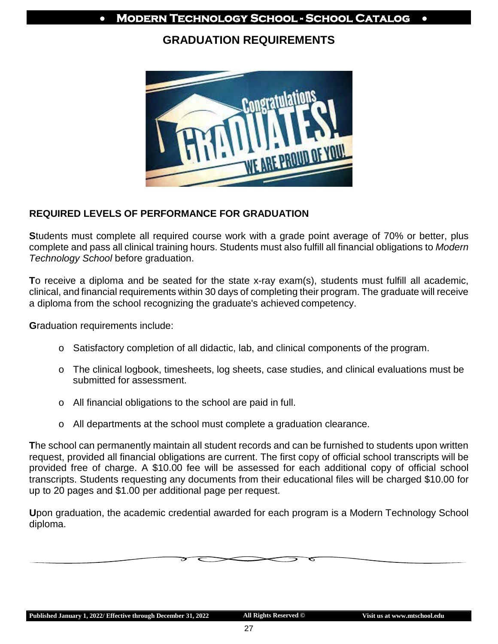## **GRADUATION REQUIREMENTS**



#### **REQUIRED LEVELS OF PERFORMANCE FOR GRADUATION**

**S**tudents must complete all required course work with a grade point average of 70% or better, plus complete and pass all clinical training hours. Students must also fulfill all financial obligations to *Modern Technology School* before graduation.

**T**o receive a diploma and be seated for the state x-ray exam(s), students must fulfill all academic, clinical, and financial requirements within 30 days of completing their program. The graduate will receive a diploma from the school recognizing the graduate's achieved competency.

**G**raduation requirements include:

- o Satisfactory completion of all didactic, lab, and clinical components of the program.
- o The clinical logbook, timesheets, log sheets, case studies, and clinical evaluations must be submitted for assessment.
- o All financial obligations to the school are paid in full.
- o All departments at the school must complete a graduation clearance.

**T**he school can permanently maintain all student records and can be furnished to students upon written request, provided all financial obligations are current. The first copy of official school transcripts will be provided free of charge. A \$10.00 fee will be assessed for each additional copy of official school transcripts. Students requesting any documents from their educational files will be charged \$10.00 for up to 20 pages and \$1.00 per additional page per request.

**U**pon graduation, the academic credential awarded for each program is a Modern Technology School diploma.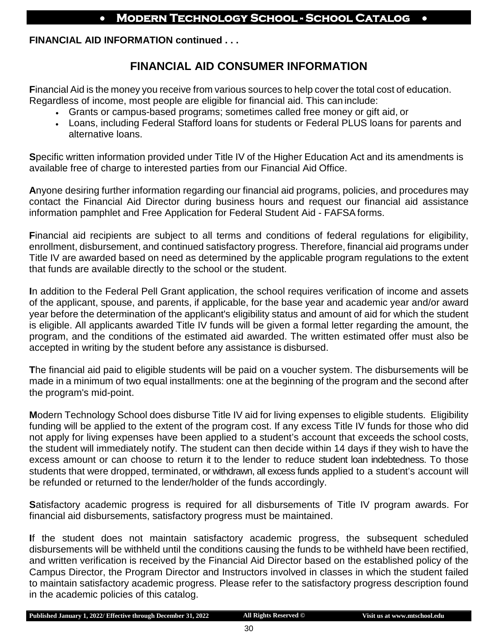#### **FINANCIAL AID INFORMATION continued . . .**

## **FINANCIAL AID CONSUMER INFORMATION**

**F**inancial Aid is the money you receive from various sources to help cover the total cost of education. Regardless of income, most people are eligible for financial aid. This can include:

- Grants or campus-based programs; sometimes called free money or gift aid, or
- Loans, including Federal Stafford loans for students or Federal PLUS loans for parents and alternative loans.

**S**pecific written information provided under Title IV of the Higher Education Act and its amendments is available free of charge to interested parties from our Financial Aid Office.

**A**nyone desiring further information regarding our financial aid programs, policies, and procedures may contact the Financial Aid Director during business hours and request our financial aid assistance information pamphlet and Free Application for Federal Student Aid - FAFSA forms.

**F**inancial aid recipients are subject to all terms and conditions of federal regulations for eligibility, enrollment, disbursement, and continued satisfactory progress. Therefore, financial aid programs under Title IV are awarded based on need as determined by the applicable program regulations to the extent that funds are available directly to the school or the student.

**I**n addition to the Federal Pell Grant application, the school requires verification of income and assets of the applicant, spouse, and parents, if applicable, for the base year and academic year and/or award year before the determination of the applicant's eligibility status and amount of aid for which the student is eligible. All applicants awarded Title IV funds will be given a formal letter regarding the amount, the program, and the conditions of the estimated aid awarded. The written estimated offer must also be accepted in writing by the student before any assistance is disbursed.

**T**he financial aid paid to eligible students will be paid on a voucher system. The disbursements will be made in a minimum of two equal installments: one at the beginning of the program and the second after the program's mid-point.

**M**odern Technology School does disburse Title IV aid for living expenses to eligible students. Eligibility funding will be applied to the extent of the program cost. If any excess Title IV funds for those who did not apply for living expenses have been applied to a student's account that exceeds the school costs, the student will immediately notify. The student can then decide within 14 days if they wish to have the excess amount or can choose to return it to the lender to reduce student loan indebtedness. To those students that were dropped, terminated, or withdrawn, all excess funds applied to a student's account will be refunded or returned to the lender/holder of the funds accordingly.

**S**atisfactory academic progress is required for all disbursements of Title IV program awards. For financial aid disbursements, satisfactory progress must be maintained.

**I**f the student does not maintain satisfactory academic progress, the subsequent scheduled disbursements will be withheld until the conditions causing the funds to be withheld have been rectified, and written verification is received by the Financial Aid Director based on the established policy of the Campus Director, the Program Director and Instructors involved in classes in which the student failed to maintain satisfactory academic progress. Please refer to the satisfactory progress description found in the academic policies of this catalog.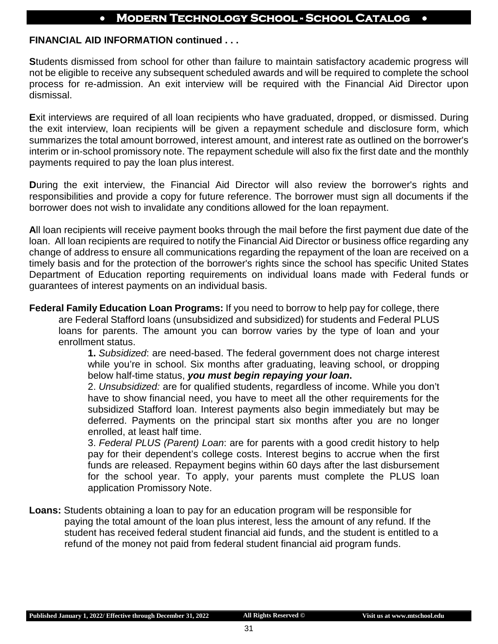#### **FINANCIAL AID INFORMATION continued . . .**

**S**tudents dismissed from school for other than failure to maintain satisfactory academic progress will not be eligible to receive any subsequent scheduled awards and will be required to complete the school process for re-admission. An exit interview will be required with the Financial Aid Director upon dismissal.

**E**xit interviews are required of all loan recipients who have graduated, dropped, or dismissed. During the exit interview, loan recipients will be given a repayment schedule and disclosure form, which summarizes the total amount borrowed, interest amount, and interest rate as outlined on the borrower's interim or in-school promissory note. The repayment schedule will also fix the first date and the monthly payments required to pay the loan plus interest.

**During the exit interview, the Financial Aid Director will also review the borrower's rights and** responsibilities and provide a copy for future reference. The borrower must sign all documents if the borrower does not wish to invalidate any conditions allowed for the loan repayment.

**A**ll loan recipients will receive payment books through the mail before the first payment due date of the loan. All loan recipients are required to notify the Financial Aid Director or business office regarding any change of address to ensure all communications regarding the repayment of the loan are received on a timely basis and for the protection of the borrower's rights since the school has specific United States Department of Education reporting requirements on individual loans made with Federal funds or guarantees of interest payments on an individual basis.

**Federal Family Education Loan Programs:** If you need to borrow to help pay for college, there are Federal Stafford loans (unsubsidized and subsidized) for students and Federal PLUS loans for parents. The amount you can borrow varies by the type of loan and your enrollment status.

**1.** *Subsidized*: are need-based. The federal government does not charge interest while you're in school. Six months after graduating, leaving school, or dropping below half-time status, *you must begin repaying your loan***.**

2. *Unsubsidized:* are for qualified students, regardless of income. While you don't have to show financial need, you have to meet all the other requirements for the subsidized Stafford loan. Interest payments also begin immediately but may be deferred. Payments on the principal start six months after you are no longer enrolled, at least half time.

3. *Federal PLUS (Parent) Loan*: are for parents with a good credit history to help pay for their dependent's college costs. Interest begins to accrue when the first funds are released. Repayment begins within 60 days after the last disbursement for the school year. To apply, your parents must complete the PLUS loan application Promissory Note.

**Loans:** Students obtaining a loan to pay for an education program will be responsible for paying the total amount of the loan plus interest, less the amount of any refund. If the student has received federal student financial aid funds, and the student is entitled to a refund of the money not paid from federal student financial aid program funds.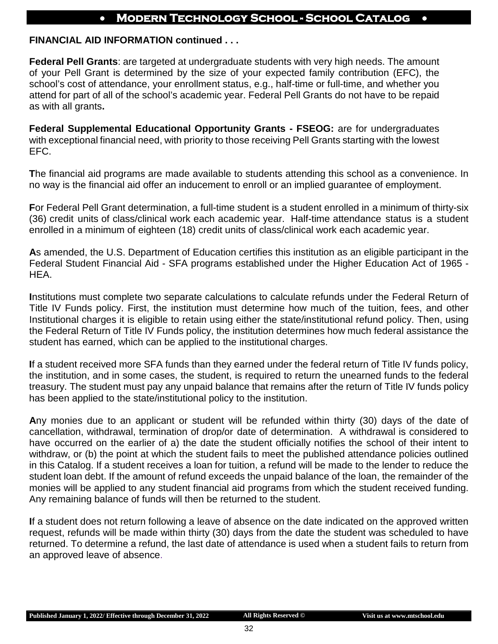#### **FINANCIAL AID INFORMATION continued . . .**

**Federal Pell Grants**: are targeted at undergraduate students with very high needs. The amount of your Pell Grant is determined by the size of your expected family contribution (EFC), the school's cost of attendance, your enrollment status, e.g., half-time or full-time, and whether you attend for part of all of the school's academic year. Federal Pell Grants do not have to be repaid as with all grants**.**

**Federal Supplemental Educational Opportunity Grants - FSEOG:** are for undergraduates with exceptional financial need, with priority to those receiving Pell Grants starting with the lowest EFC.

**T**he financial aid programs are made available to students attending this school as a convenience. In no way is the financial aid offer an inducement to enroll or an implied guarantee of employment.

**F**or Federal Pell Grant determination, a full-time student is a student enrolled in a minimum of thirty-six (36) credit units of class/clinical work each academic year. Half-time attendance status is a student enrolled in a minimum of eighteen (18) credit units of class/clinical work each academic year.

**A**s amended, the U.S. Department of Education certifies this institution as an eligible participant in the Federal Student Financial Aid - SFA programs established under the Higher Education Act of 1965 - HEA.

**I**nstitutions must complete two separate calculations to calculate refunds under the Federal Return of Title IV Funds policy. First, the institution must determine how much of the tuition, fees, and other Institutional charges it is eligible to retain using either the state/institutional refund policy. Then, using the Federal Return of Title IV Funds policy, the institution determines how much federal assistance the student has earned, which can be applied to the institutional charges.

**I**f a student received more SFA funds than they earned under the federal return of Title IV funds policy, the institution, and in some cases, the student, is required to return the unearned funds to the federal treasury. The student must pay any unpaid balance that remains after the return of Title IV funds policy has been applied to the state/institutional policy to the institution.

**A**ny monies due to an applicant or student will be refunded within thirty (30) days of the date of cancellation, withdrawal, termination of drop/or date of determination. A withdrawal is considered to have occurred on the earlier of a) the date the student officially notifies the school of their intent to withdraw, or (b) the point at which the student fails to meet the published attendance policies outlined in this Catalog. If a student receives a loan for tuition, a refund will be made to the lender to reduce the student loan debt. If the amount of refund exceeds the unpaid balance of the loan, the remainder of the monies will be applied to any student financial aid programs from which the student received funding. Any remaining balance of funds will then be returned to the student.

<span id="page-29-0"></span>**I**f a student does not return following a leave of absence on the date indicated on the approved written request, refunds will be made within thirty (30) days from the date the student was scheduled to have returned. To determine a refund, the last date of attendance is used when a student fails to return from an approved leave of absence.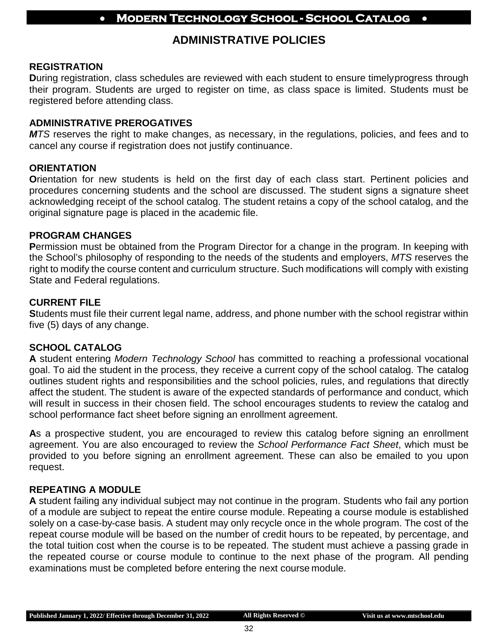## **ADMINISTRATIVE POLICIES**

#### **REGISTRATION**

**D**uring registration, class schedules are reviewed with each student to ensure timelyprogress through their program. Students are urged to register on time, as class space is limited. Students must be registered before attending class.

#### **ADMINISTRATIVE PREROGATIVES**

*MTS* reserves the right to make changes, as necessary, in the regulations, policies, and fees and to cancel any course if registration does not justify continuance.

#### **ORIENTATION**

**O**rientation for new students is held on the first day of each class start. Pertinent policies and procedures concerning students and the school are discussed. The student signs a signature sheet acknowledging receipt of the school catalog. The student retains a copy of the school catalog, and the original signature page is placed in the academic file.

#### **PROGRAM CHANGES**

**P**ermission must be obtained from the Program Director for a change in the program. In keeping with the School's philosophy of responding to the needs of the students and employers, *MTS* reserves the right to modify the course content and curriculum structure. Such modifications will comply with existing State and Federal regulations.

#### **CURRENT FILE**

**S**tudents must file their current legal name, address, and phone number with the school registrar within five (5) days of any change.

#### **SCHOOL CATALOG**

**A** student entering *Modern Technology School* has committed to reaching a professional vocational goal. To aid the student in the process, they receive a current copy of the school catalog. The catalog outlines student rights and responsibilities and the school policies, rules, and regulations that directly affect the student. The student is aware of the expected standards of performance and conduct, which will result in success in their chosen field. The school encourages students to review the catalog and school performance fact sheet before signing an enrollment agreement.

As a prospective student, you are encouraged to review this catalog before signing an enrollment agreement. You are also encouraged to review the *School Performance Fact Sheet*, which must be provided to you before signing an enrollment agreement. These can also be emailed to you upon request.

#### **REPEATING A MODULE**

**A** student failing any individual subject may not continue in the program. Students who fail any portion of a module are subject to repeat the entire course module. Repeating a course module is established solely on a case-by-case basis. A student may only recycle once in the whole program. The cost of the repeat course module will be based on the number of credit hours to be repeated, by percentage, and the total tuition cost when the course is to be repeated. The student must achieve a passing grade in the repeated course or course module to continue to the next phase of the program. All pending examinations must be completed before entering the next course module.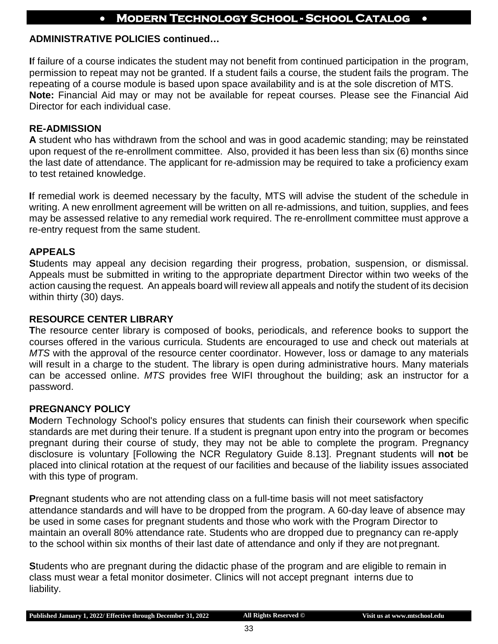#### **ADMINISTRATIVE POLICIES continued…**

**I**f failure of a course indicates the student may not benefit from continued participation in the program, permission to repeat may not be granted. If a student fails a course, the student fails the program. The repeating of a course module is based upon space availability and is at the sole discretion of MTS. **Note:** Financial Aid may or may not be available for repeat courses. Please see the Financial Aid Director for each individual case.

#### **RE-ADMISSION**

**A** student who has withdrawn from the school and was in good academic standing; may be reinstated upon request of the re-enrollment committee. Also, provided it has been less than six (6) months since the last date of attendance. The applicant for re-admission may be required to take a proficiency exam to test retained knowledge.

**I**f remedial work is deemed necessary by the faculty, MTS will advise the student of the schedule in writing. A new enrollment agreement will be written on all re-admissions, and tuition, supplies, and fees may be assessed relative to any remedial work required. The re-enrollment committee must approve a re-entry request from the same student.

#### **APPEALS**

**S**tudents may appeal any decision regarding their progress, probation, suspension, or dismissal. Appeals must be submitted in writing to the appropriate department Director within two weeks of the action causing the request. An appeals board will review all appeals and notify the student of its decision within thirty (30) days.

#### **RESOURCE CENTER LIBRARY**

**T**he resource center library is composed of books, periodicals, and reference books to support the courses offered in the various curricula. Students are encouraged to use and check out materials at *MTS* with the approval of the resource center coordinator. However, loss or damage to any materials will result in a charge to the student. The library is open during administrative hours. Many materials can be accessed online. *MTS* provides free WIFI throughout the building; ask an instructor for a password.

#### **PREGNANCY POLICY**

**M**odern Technology School's policy ensures that students can finish their coursework when specific standards are met during their tenure. If a student is pregnant upon entry into the program or becomes pregnant during their course of study, they may not be able to complete the program. Pregnancy disclosure is voluntary [Following the NCR Regulatory Guide 8.13]. Pregnant students will **not** be placed into clinical rotation at the request of our facilities and because of the liability issues associated with this type of program.

**P**regnant students who are not attending class on a full-time basis will not meet satisfactory attendance standards and will have to be dropped from the program. A 60-day leave of absence may be used in some cases for pregnant students and those who work with the Program Director to maintain an overall 80% attendance rate. Students who are dropped due to pregnancy can re-apply to the school within six months of their last date of attendance and only if they are not pregnant.

**S**tudents who are pregnant during the didactic phase of the program and are eligible to remain in class must wear a fetal monitor dosimeter. Clinics will not accept pregnant interns due to liability.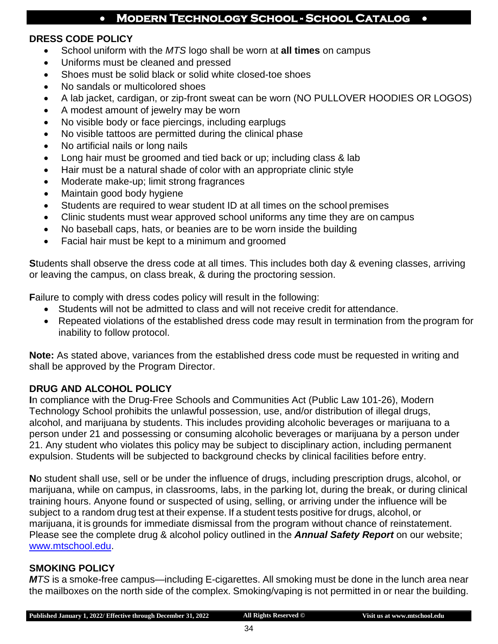#### **DRESS CODE POLICY**

- School uniform with the *MTS* logo shall be worn at **all times** on campus
- Uniforms must be cleaned and pressed
- Shoes must be solid black or solid white closed-toe shoes
- No sandals or multicolored shoes
- A lab jacket, cardigan, or zip-front sweat can be worn (NO PULLOVER HOODIES OR LOGOS)
- A modest amount of jewelry may be worn
- No visible body or face piercings, including earplugs
- No visible tattoos are permitted during the clinical phase
- No artificial nails or long nails
- Long hair must be groomed and tied back or up; including class & lab
- Hair must be a natural shade of color with an appropriate clinic style
- Moderate make-up; limit strong fragrances
- Maintain good body hygiene
- Students are required to wear student ID at all times on the school premises
- Clinic students must wear approved school uniforms any time they are on campus
- No baseball caps, hats, or beanies are to be worn inside the building
- Facial hair must be kept to a minimum and groomed

**S**tudents shall observe the dress code at all times. This includes both day & evening classes, arriving or leaving the campus, on class break, & during the proctoring session.

**F**ailure to comply with dress codes policy will result in the following:

- Students will not be admitted to class and will not receive credit for attendance.
- Repeated violations of the established dress code may result in termination from the program for inability to follow protocol.

**Note:** As stated above, variances from the established dress code must be requested in writing and shall be approved by the Program Director.

#### **DRUG AND ALCOHOL POLICY**

**I**n compliance with the Drug-Free Schools and Communities Act (Public Law 101-26), Modern Technology School prohibits the unlawful possession, use, and/or distribution of illegal drugs, alcohol, and marijuana by students. This includes providing alcoholic beverages or marijuana to a person under 21 and possessing or consuming alcoholic beverages or marijuana by a person under 21. Any student who violates this policy may be subject to disciplinary action, including permanent expulsion. Students will be subjected to background checks by clinical facilities before entry.

**N**o student shall use, sell or be under the influence of drugs, including prescription drugs, alcohol, or marijuana, while on campus, in classrooms, labs, in the parking lot, during the break, or during clinical training hours. Anyone found or suspected of using, selling, or arriving under the influence will be subject to a random drug test at their expense. If a student tests positive for drugs, alcohol, or marijuana, it is grounds for immediate dismissal from the program without chance of reinstatement. Please see the complete drug & alcohol policy outlined in the *Annual Safety Report* on our website; [www.mtschool.edu.](http://www.mtschool.edu/)

#### **SMOKING POLICY**

*MTS* is a smoke-free campus—including E-cigarettes. All smoking must be done in the lunch area near the mailboxes on the north side of the complex. Smoking/vaping is not permitted in or near the building.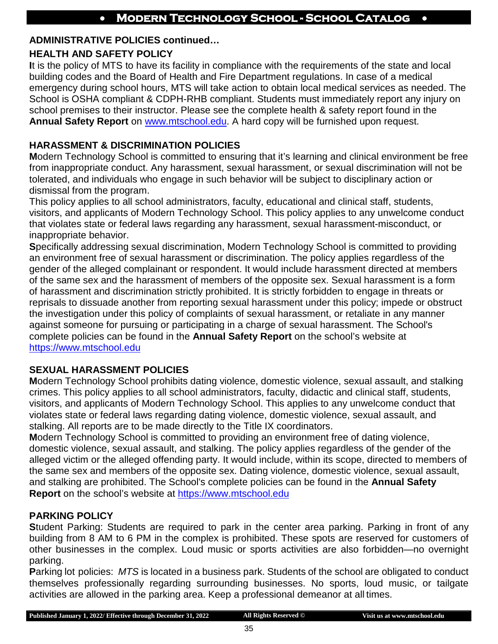#### **ADMINISTRATIVE POLICIES continued…**

### **HEALTH AND SAFETY POLICY**

**I**t is the policy of MTS to have its facility in compliance with the requirements of the state and local building codes and the Board of Health and Fire Department regulations. In case of a medical emergency during school hours, MTS will take action to obtain local medical services as needed. The School is OSHA compliant & CDPH-RHB compliant. Students must immediately report any injury on school premises to their instructor. Please see the complete health & safety report found in the **Annual Safety Report** on [www.mtschool.edu.](http://www.mtschool.edu/) A hard copy will be furnished upon request.

#### **HARASSMENT & DISCRIMINATION POLICIES**

**M**odern Technology School is committed to ensuring that it's learning and clinical environment be free from inappropriate conduct. Any harassment, sexual harassment, or sexual discrimination will not be tolerated, and individuals who engage in such behavior will be subject to disciplinary action or dismissal from the program.

This policy applies to all school administrators, faculty, educational and clinical staff, students, visitors, and applicants of Modern Technology School. This policy applies to any unwelcome conduct that violates state or federal laws regarding any harassment, sexual harassment-misconduct, or inappropriate behavior.

**S**pecifically addressing sexual discrimination, Modern Technology School is committed to providing an environment free of sexual harassment or discrimination. The policy applies regardless of the gender of the alleged complainant or respondent. It would include harassment directed at members of the same sex and the harassment of members of the opposite sex. Sexual harassment is a form of harassment and discrimination strictly prohibited. It is strictly forbidden to engage in threats or reprisals to dissuade another from reporting sexual harassment under this policy; impede or obstruct the investigation under this policy of complaints of sexual harassment, or retaliate in any manner against someone for pursuing or participating in a charge of sexual harassment. The School's complete policies can be found in the **Annual Safety Report** on the school's website at [https://www.mtschool.edu](https://www.mtschool.edu/)

#### **SEXUAL HARASSMENT POLICIES**

**M**odern Technology School prohibits dating violence, domestic violence, sexual assault, and stalking crimes. This policy applies to all school administrators, faculty, didactic and clinical staff, students, visitors, and applicants of Modern Technology School. This applies to any unwelcome conduct that violates state or federal laws regarding dating violence, domestic violence, sexual assault, and stalking. All reports are to be made directly to the Title IX coordinators.

**M**odern Technology School is committed to providing an environment free of dating violence, domestic violence, sexual assault, and stalking. The policy applies regardless of the gender of the alleged victim or the alleged offending party. It would include, within its scope, directed to members of the same sex and members of the opposite sex. Dating violence, domestic violence, sexual assault, and stalking are prohibited. The School's complete policies can be found in the **Annual Safety Report** on the school's website at [https://www.mtschool.edu](https://www.mtschool.edu/)

## **PARKING POLICY**

**S**tudent Parking: Students are required to park in the center area parking. Parking in front of any building from 8 AM to 6 PM in the complex is prohibited. These spots are reserved for customers of other businesses in the complex. Loud music or sports activities are also forbidden—no overnight parking.

**P**arking lot policies: *MTS* is located in a business park. Students of the school are obligated to conduct themselves professionally regarding surrounding businesses. No sports, loud music, or tailgate activities are allowed in the parking area. Keep a professional demeanor at all times.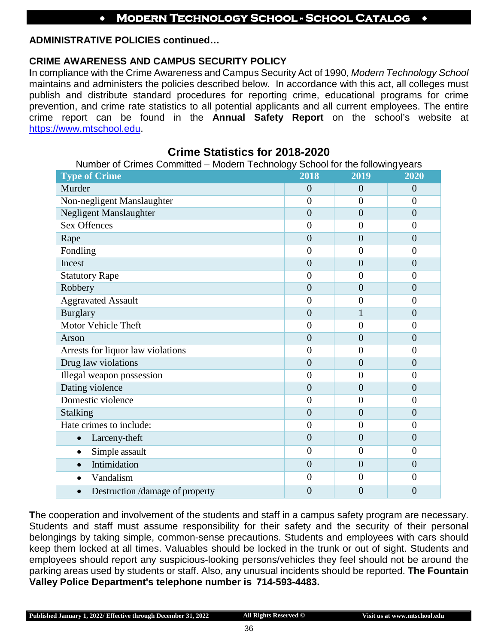#### **ADMINISTRATIVE POLICIES continued…**

#### **CRIME AWARENESS AND CAMPUS SECURITY POLICY**

**I**n compliance with the Crime Awareness and Campus Security Act of 1990, *Modern Technology School*  maintains and administers the policies described below. In accordance with this act, all colleges must publish and distribute standard procedures for reporting crime, educational programs for crime prevention, and crime rate statistics to all potential applicants and all current employees. The entire crime report can be found in the **Annual Safety Report** on the school's website at [https://www.mtschool.edu.](https://www.mtschool.edu/)

**Crime Statistics for 2018-2020**

## Number of Crimes Committed – Modern Technology School for the followingyears **Type of Crime 2018 2019 2020** Murder  $0 \t 0 \t 0$  0 0 0 Non-negligent Manslaughter 0 0 0 Negligent Manslaughter 0 0 0 Sex Offences  $\begin{array}{cccc} 0 & 0 & 0 \end{array}$ Rape  $0 \t 0 \t 0$  0 0 0 0 Fondling  $\begin{array}{ccccccc} 0 & 0 & 0 \end{array}$ Incest  $0 \t 0 \t 0$ Statutory Rape 0 0 0 Robbery  $0 \t 0 \t 0$ Aggravated Assault 0 0 0 Burglary  $0 \t 1 \t 0$ Motor Vehicle Theft 0 0 0 Arson  $0 \t 0 \t 0$ Arrests for liquor law violations 0 0 0 Drug law violations  $\begin{array}{|c|c|c|c|c|c|c|c|c|} \hline 0 & 0 & 0 & 0 \ \hline \end{array}$ Illegal weapon possession 0 0 0 Dating violence  $\begin{array}{cccc} 0 & 0 & 0 \\ 0 & 0 & 0 \end{array}$ Domestic violence and the contract of the contract of the contract of the contract of the contract of the contract of the contract of the contract of the contract of the contract of the contract of the contract of the cont Stalking 0 0 0 Hate crimes to include:  $\begin{array}{ccc} 0 & 0 & 0 \end{array}$ • Larceny-theft  $0 \t 0 \t 0$ • Simple assault  $\begin{array}{|c|c|c|c|c|c|c|c|c|} \hline \bullet & 0 & 0 & 0 \end{array}$ • Intimidation  $\begin{array}{ccccccc} 0 & 0 & 0 \\ 0 & 0 & 0 \end{array}$ • Vandalism  $\begin{array}{cccc} 0 & 0 & 0 \end{array}$ • Destruction /damage of property  $0 \t 0 \t 0$

**T**he cooperation and involvement of the students and staff in a campus safety program are necessary. Students and staff must assume responsibility for their safety and the security of their personal belongings by taking simple, common-sense precautions. Students and employees with cars should keep them locked at all times. Valuables should be locked in the trunk or out of sight. Students and employees should report any suspicious-looking persons/vehicles they feel should not be around the parking areas used by students or staff. Also, any unusual incidents should be reported. **The Fountain Valley Police Department's telephone number is 714-593-4483.**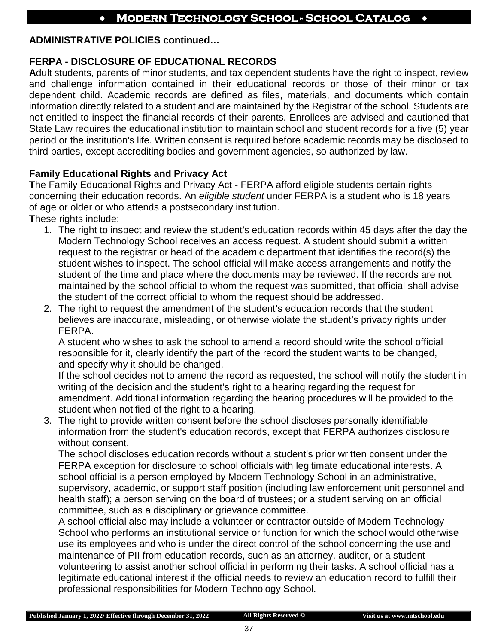#### **ADMINISTRATIVE POLICIES continued…**

#### **FERPA - DISCLOSURE OF EDUCATIONAL RECORDS**

**A**dult students, parents of minor students, and tax dependent students have the right to inspect, review and challenge information contained in their educational records or those of their minor or tax dependent child. Academic records are defined as files, materials, and documents which contain information directly related to a student and are maintained by the Registrar of the school. Students are not entitled to inspect the financial records of their parents. Enrollees are advised and cautioned that State Law requires the educational institution to maintain school and student records for a five (5) year period or the institution's life. Written consent is required before academic records may be disclosed to third parties, except accrediting bodies and government agencies, so authorized by law.

#### **Family Educational Rights and Privacy Act**

**T**he Family Educational Rights and Privacy Act - FERPA afford eligible students certain rights concerning their education records. An *eligible student* under FERPA is a student who is 18 years of age or older or who attends a postsecondary institution.

**T**hese rights include:

- 1. The right to inspect and review the student's education records within 45 days after the day the Modern Technology School receives an access request. A student should submit a written request to the registrar or head of the academic department that identifies the record(s) the student wishes to inspect. The school official will make access arrangements and notify the student of the time and place where the documents may be reviewed. If the records are not maintained by the school official to whom the request was submitted, that official shall advise the student of the correct official to whom the request should be addressed.
- 2. The right to request the amendment of the student's education records that the student believes are inaccurate, misleading, or otherwise violate the student's privacy rights under FERPA.

A student who wishes to ask the school to amend a record should write the school official responsible for it, clearly identify the part of the record the student wants to be changed, and specify why it should be changed.

If the school decides not to amend the record as requested, the school will notify the student in writing of the decision and the student's right to a hearing regarding the request for amendment. Additional information regarding the hearing procedures will be provided to the student when notified of the right to a hearing.

3. The right to provide written consent before the school discloses personally identifiable information from the student's education records, except that FERPA authorizes disclosure without consent.

The school discloses education records without a student's prior written consent under the FERPA exception for disclosure to school officials with legitimate educational interests. A school official is a person employed by Modern Technology School in an administrative, supervisory, academic, or support staff position (including law enforcement unit personnel and health staff); a person serving on the board of trustees; or a student serving on an official committee, such as a disciplinary or grievance committee.

A school official also may include a volunteer or contractor outside of Modern Technology School who performs an institutional service or function for which the school would otherwise use its employees and who is under the direct control of the school concerning the use and maintenance of PII from education records, such as an attorney, auditor, or a student volunteering to assist another school official in performing their tasks. A school official has a legitimate educational interest if the official needs to review an education record to fulfill their professional responsibilities for Modern Technology School.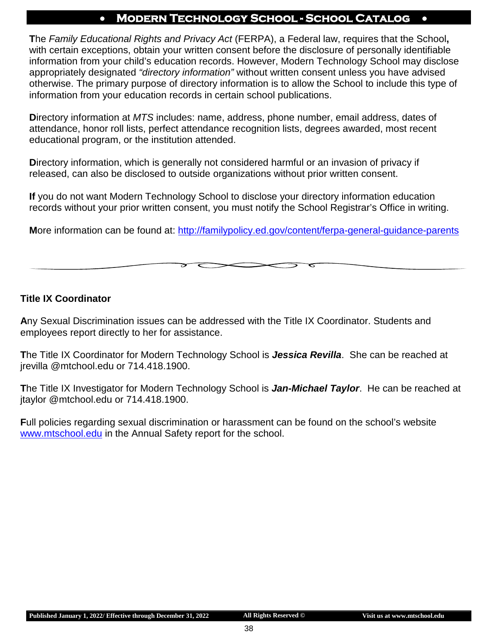**T**he *Family Educational Rights and Privacy Act* (FERPA), a Federal law, requires that the School**,**  with certain exceptions, obtain your written consent before the disclosure of personally identifiable information from your child's education records. However, Modern Technology School may disclose appropriately designated *"directory information"* without written consent unless you have advised otherwise. The primary purpose of directory information is to allow the School to include this type of information from your education records in certain school publications.

**D**irectory information at *MTS* includes: name, address, phone number, email address, dates of attendance, honor roll lists, perfect attendance recognition lists, degrees awarded, most recent educational program, or the institution attended.

**D**irectory information, which is generally not considered harmful or an invasion of privacy if released, can also be disclosed to outside organizations without prior written consent.

**If** you do not want Modern Technology School to disclose your directory information education records without your prior written consent, you must notify the School Registrar's Office in writing.

**M**ore information can be found at:<http://familypolicy.ed.gov/content/ferpa-general-guidance-parents>

#### **Title IX Coordinator**

**A**ny Sexual Discrimination issues can be addressed with the Title IX Coordinator. Students and employees report directly to her for assistance.

**T**he Title IX Coordinator for Modern Technology School is *Jessica Revilla*. She can be reached at jrevilla @mtchool.edu or 714.418.1900.

**T**he Title IX Investigator for Modern Technology School is *Jan-Michael Taylor*. He can be reached at jtaylor @mtchool.edu or 714.418.1900.

**F**ull policies regarding sexual discrimination or harassment can be found on the school's website [www.mtschool.edu](http://www.mtschool.edu/) in the Annual Safety report for the school.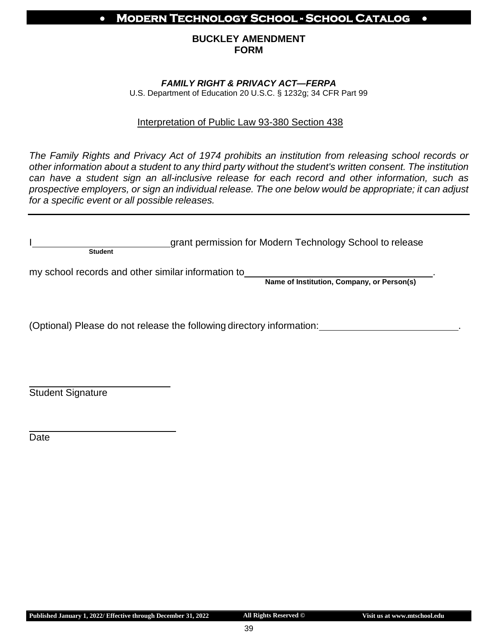#### **BUCKLEY AMENDMENT FORM**

#### *FAMILY RIGHT & PRIVACY ACT—FERPA*

U.S. Department of Education 20 U.S.C. § 1232g; 34 CFR Part 99

#### Interpretation of Public Law 93-380 Section 438

*The Family Rights and Privacy Act of 1974 prohibits an institution from releasing school records or other information about a student to any third party without the student's written consent. The institution can have a student sign an all-inclusive release for each record and other information, such as prospective employers, or sign an individual release. The one below would be appropriate; it can adjust for a specific event or all possible releases.*

|         | grant permission for Modern Technology School to release |
|---------|----------------------------------------------------------|
| Student |                                                          |

my school records and other similar information to

**Name of Institution, Company, or Person(s)**

(Optional) Please do not release the following directory information: .

Student Signature

Date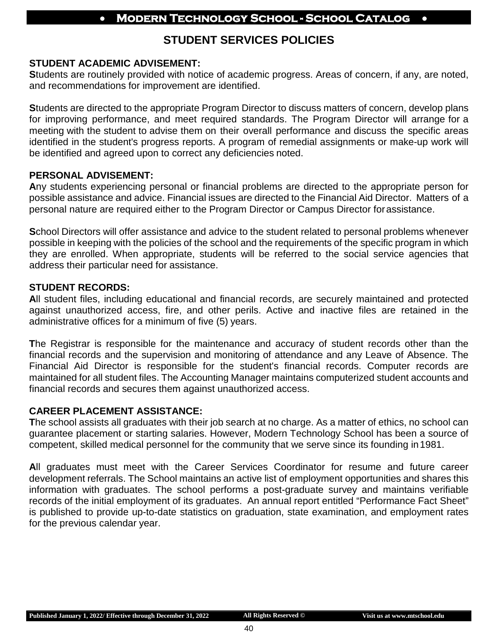## **STUDENT SERVICES POLICIES**

#### **STUDENT ACADEMIC ADVISEMENT:**

**S**tudents are routinely provided with notice of academic progress. Areas of concern, if any, are noted, and recommendations for improvement are identified.

**S**tudents are directed to the appropriate Program Director to discuss matters of concern, develop plans for improving performance, and meet required standards. The Program Director will arrange for a meeting with the student to advise them on their overall performance and discuss the specific areas identified in the student's progress reports. A program of remedial assignments or make-up work will be identified and agreed upon to correct any deficiencies noted.

#### **PERSONAL ADVISEMENT:**

**A**ny students experiencing personal or financial problems are directed to the appropriate person for possible assistance and advice. Financial issues are directed to the Financial Aid Director. Matters of a personal nature are required either to the Program Director or Campus Director forassistance.

**S**chool Directors will offer assistance and advice to the student related to personal problems whenever possible in keeping with the policies of the school and the requirements of the specific program in which they are enrolled. When appropriate, students will be referred to the social service agencies that address their particular need for assistance.

#### **STUDENT RECORDS:**

**A**ll student files, including educational and financial records, are securely maintained and protected against unauthorized access, fire, and other perils. Active and inactive files are retained in the administrative offices for a minimum of five (5) years.

**T**he Registrar is responsible for the maintenance and accuracy of student records other than the financial records and the supervision and monitoring of attendance and any Leave of Absence. The Financial Aid Director is responsible for the student's financial records. Computer records are maintained for all student files. The Accounting Manager maintains computerized student accounts and financial records and secures them against unauthorized access.

#### **CAREER PLACEMENT ASSISTANCE:**

**T**he school assists all graduates with their job search at no charge. As a matter of ethics, no school can guarantee placement or starting salaries. However, Modern Technology School has been a source of competent, skilled medical personnel for the community that we serve since its founding in1981.

**A**ll graduates must meet with the Career Services Coordinator for resume and future career development referrals. The School maintains an active list of employment opportunities and shares this information with graduates. The school performs a post-graduate survey and maintains verifiable records of the initial employment of its graduates. An annual report entitled "Performance Fact Sheet" is published to provide up-to-date statistics on graduation, state examination, and employment rates for the previous calendar year.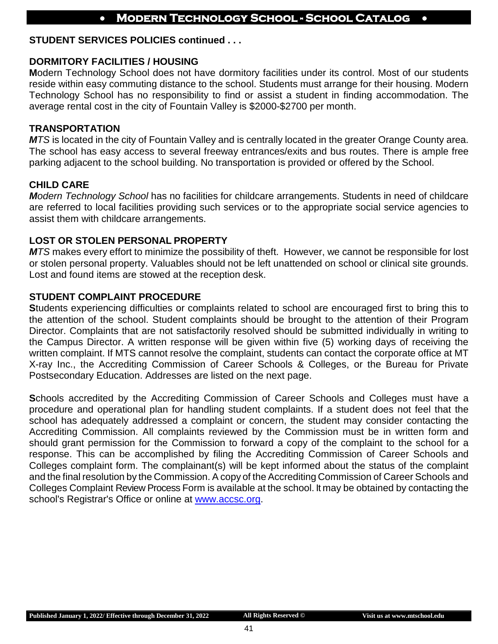#### **STUDENT SERVICES POLICIES continued . . .**

#### **DORMITORY FACILITIES / HOUSING**

**M**odern Technology School does not have dormitory facilities under its control. Most of our students reside within easy commuting distance to the school. Students must arrange for their housing. Modern Technology School has no responsibility to find or assist a student in finding accommodation. The average rental cost in the city of Fountain Valley is \$2000-\$2700 per month.

#### **TRANSPORTATION**

*MTS* is located in the city of Fountain Valley and is centrally located in the greater Orange County area. The school has easy access to several freeway entrances/exits and bus routes. There is ample free parking adjacent to the school building. No transportation is provided or offered by the School.

#### **CHILD CARE**

*Modern Technology School* has no facilities for childcare arrangements. Students in need of childcare are referred to local facilities providing such services or to the appropriate social service agencies to assist them with childcare arrangements.

#### **LOST OR STOLEN PERSONAL PROPERTY**

*MTS* makes every effort to minimize the possibility of theft. However, we cannot be responsible for lost or stolen personal property. Valuables should not be left unattended on school or clinical site grounds. Lost and found items are stowed at the reception desk.

#### **STUDENT COMPLAINT PROCEDURE**

**S**tudents experiencing difficulties or complaints related to school are encouraged first to bring this to the attention of the school. Student complaints should be brought to the attention of their Program Director. Complaints that are not satisfactorily resolved should be submitted individually in writing to the Campus Director. A written response will be given within five (5) working days of receiving the written complaint. If MTS cannot resolve the complaint, students can contact the corporate office at MT X-ray Inc., the Accrediting Commission of Career Schools & Colleges, or the Bureau for Private Postsecondary Education. Addresses are listed on the next page.

**Schools accredited by the Accrediting Commission of Career Schools and Colleges must have a** procedure and operational plan for handling student complaints. If a student does not feel that the school has adequately addressed a complaint or concern, the student may consider contacting the Accrediting Commission. All complaints reviewed by the Commission must be in written form and should grant permission for the Commission to forward a copy of the complaint to the school for a response. This can be accomplished by filing the Accrediting Commission of Career Schools and Colleges complaint form. The complainant(s) will be kept informed about the status of the complaint and the final resolution by the Commission. A copy of the Accrediting Commission of Career Schools and Colleges Complaint Review Process Form is available at the school. It may be obtained by contacting the school's Registrar's Office or online at [www.accsc.org.](http://www.accsc.org/)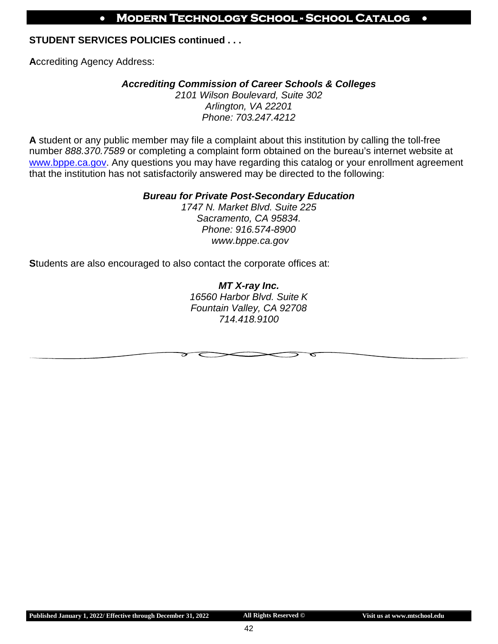#### **STUDENT SERVICES POLICIES continued . . .**

**A**ccrediting Agency Address:

#### *Accrediting Commission of Career Schools & Colleges*

*2101 Wilson Boulevard, Suite 302 Arlington, VA 22201 Phone: 703.247.4212*

**A** student or any public member may file a complaint about this institution by calling the toll-free number *888.370.7589* or completing a complaint form obtained on the bureau's internet website at [www.bppe.ca.gov.](http://www.bppe.ca.gov/) Any questions you may have regarding this catalog or your enrollment agreement that the institution has not satisfactorily answered may be directed to the following:

#### *Bureau for Private Post-Secondary Education*

*1747 N. Market Blvd. Suite 225 Sacramento, CA 95834. Phone: 916.574-8900 [www.bppe.ca.gov](http://www.bppe.ca.gov/)*

**S**tudents are also encouraged to also contact the corporate offices at:

*MT X-ray Inc. 16560 Harbor Blvd. Suite K Fountain Valley, CA 92708 714.418.9100*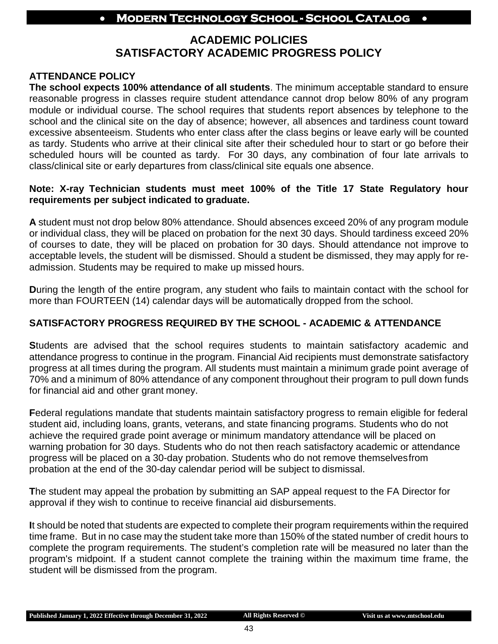## **ACADEMIC POLICIES SATISFACTORY ACADEMIC PROGRESS POLICY**

#### **ATTENDANCE POLICY**

**The school expects 100% attendance of all students**. The minimum acceptable standard to ensure reasonable progress in classes require student attendance cannot drop below 80% of any program module or individual course. The school requires that students report absences by telephone to the school and the clinical site on the day of absence; however, all absences and tardiness count toward excessive absenteeism. Students who enter class after the class begins or leave early will be counted as tardy. Students who arrive at their clinical site after their scheduled hour to start or go before their scheduled hours will be counted as tardy. For 30 days, any combination of four late arrivals to class/clinical site or early departures from class/clinical site equals one absence.

#### **Note: X-ray Technician students must meet 100% of the Title 17 State Regulatory hour requirements per subject indicated to graduate.**

**A** student must not drop below 80% attendance. Should absences exceed 20% of any program module or individual class, they will be placed on probation for the next 30 days. Should tardiness exceed 20% of courses to date, they will be placed on probation for 30 days. Should attendance not improve to acceptable levels, the student will be dismissed. Should a student be dismissed, they may apply for readmission. Students may be required to make up missed hours.

**D**uring the length of the entire program, any student who fails to maintain contact with the school for more than FOURTEEN (14) calendar days will be automatically dropped from the school.

#### **SATISFACTORY PROGRESS REQUIRED BY THE SCHOOL - ACADEMIC & ATTENDANCE**

**S**tudents are advised that the school requires students to maintain satisfactory academic and attendance progress to continue in the program. Financial Aid recipients must demonstrate satisfactory progress at all times during the program. All students must maintain a minimum grade point average of 70% and a minimum of 80% attendance of any component throughout their program to pull down funds for financial aid and other grant money.

**F**ederal regulations mandate that students maintain satisfactory progress to remain eligible for federal student aid, including loans, grants, veterans, and state financing programs. Students who do not achieve the required grade point average or minimum mandatory attendance will be placed on warning probation for 30 days. Students who do not then reach satisfactory academic or attendance progress will be placed on a 30-day probation. Students who do not remove themselvesfrom probation at the end of the 30-day calendar period will be subject to dismissal.

**T**he student may appeal the probation by submitting an SAP appeal request to the FA Director for approval if they wish to continue to receive financial aid disbursements.

**I**t should be noted that students are expected to complete their program requirements within the required time frame. But in no case may the student take more than 150% of the stated number of credit hours to complete the program requirements. The student's completion rate will be measured no later than the program's midpoint. If a student cannot complete the training within the maximum time frame, the student will be dismissed from the program.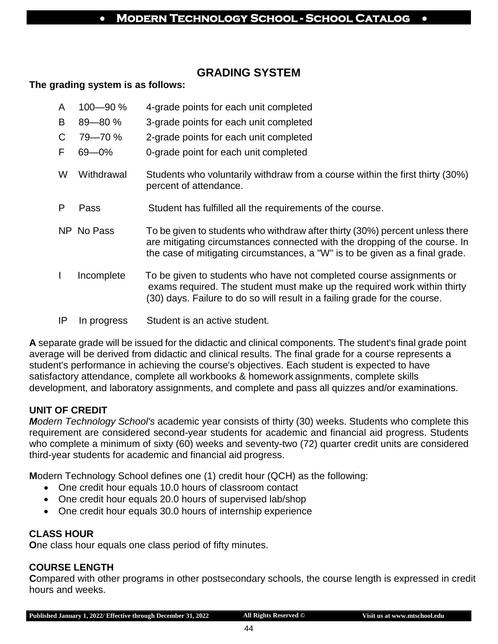## **GRADING SYSTEM**

#### **The grading system is as follows:**

- A 100—90 % 4-grade points for each unit completed
- B 89—80 % 3-grade points for each unit completed
- C 79—70 % 2-grade points for each unit completed
- F 69—0% 0-grade point for each unit completed
- W Withdrawal Students who voluntarily withdraw from a course within the first thirty (30%) percent of attendance.
- P Pass Student has fulfilled all the requirements of the course.
- NP No Pass To be given to students who withdraw after thirty (30%) percent unless there are mitigating circumstances connected with the dropping of the course. In the case of mitigating circumstances, a "W" is to be given as a final grade.
- I Incomplete To be given to students who have not completed course assignments or exams required. The student must make up the required work within thirty (30) days. Failure to do so will result in a failing grade for the course.
- IP In progress Student is an active student.

**A** separate grade will be issued for the didactic and clinical components. The student's final grade point average will be derived from didactic and clinical results. The final grade for a course represents a student's performance in achieving the course's objectives. Each student is expected to have satisfactory attendance, complete all workbooks & homework assignments, complete skills development, and laboratory assignments, and complete and pass all quizzes and/or examinations.

#### **UNIT OF CREDIT**

*Modern Technology School's* academic year consists of thirty (30) weeks. Students who complete this requirement are considered second-year students for academic and financial aid progress. Students who complete a minimum of sixty (60) weeks and seventy-two (72) quarter credit units are considered third-year students for academic and financial aid progress.

**M**odern Technology School defines one (1) credit hour (QCH) as the following:

- One credit hour equals 10.0 hours of classroom contact
- One credit hour equals 20.0 hours of supervised lab/shop
- One credit hour equals 30.0 hours of internship experience

#### **CLASS HOUR**

**O**ne class hour equals one class period of fifty minutes.

#### **COURSE LENGTH**

**C**ompared with other programs in other postsecondary schools, the course length is expressed in credit hours and weeks.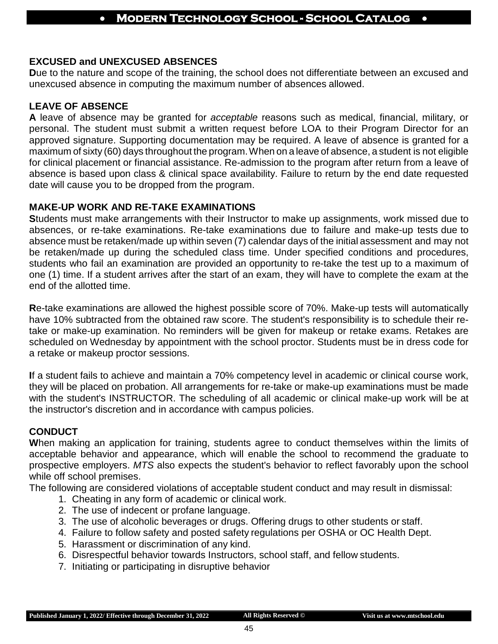#### **EXCUSED and UNEXCUSED ABSENCES**

**D**ue to the nature and scope of the training, the school does not differentiate between an excused and unexcused absence in computing the maximum number of absences allowed.

#### **LEAVE OF ABSENCE**

**A** leave of absence may be granted for *acceptable* reasons such as medical, financial, military, or personal. The student must submit a written request before LOA to their Program Director for an approved signature. Supporting documentation may be required. A leave of absence is granted for a maximum of sixty (60) days throughout the program.When on a leave of absence, a student is not eligible for clinical placement or financial assistance. Re-admission to the program after return from a leave of absence is based upon class & clinical space availability. Failure to return by the end date requested date will cause you to be dropped from the program.

#### **MAKE-UP WORK AND RE-TAKE EXAMINATIONS**

**S**tudents must make arrangements with their Instructor to make up assignments, work missed due to absences, or re-take examinations. Re-take examinations due to failure and make-up tests due to absence must be retaken/made up within seven (7) calendar days of the initial assessment and may not be retaken/made up during the scheduled class time. Under specified conditions and procedures, students who fail an examination are provided an opportunity to re-take the test up to a maximum of one (1) time. If a student arrives after the start of an exam, they will have to complete the exam at the end of the allotted time.

**R**e-take examinations are allowed the highest possible score of 70%. Make-up tests will automatically have 10% subtracted from the obtained raw score. The student's responsibility is to schedule their retake or make-up examination. No reminders will be given for makeup or retake exams. Retakes are scheduled on Wednesday by appointment with the school proctor. Students must be in dress code for a retake or makeup proctor sessions.

**I**f a student fails to achieve and maintain a 70% competency level in academic or clinical course work, they will be placed on probation. All arrangements for re-take or make-up examinations must be made with the student's INSTRUCTOR. The scheduling of all academic or clinical make-up work will be at the instructor's discretion and in accordance with campus policies.

#### **CONDUCT**

**W**hen making an application for training, students agree to conduct themselves within the limits of acceptable behavior and appearance, which will enable the school to recommend the graduate to prospective employers. *MTS* also expects the student's behavior to reflect favorably upon the school while off school premises.

The following are considered violations of acceptable student conduct and may result in dismissal:

- 1. Cheating in any form of academic or clinical work.
- 2. The use of indecent or profane language.
- 3. The use of alcoholic beverages or drugs. Offering drugs to other students or staff.
- 4. Failure to follow safety and posted safety regulations per OSHA or OC Health Dept.
- 5. Harassment or discrimination of any kind.
- 6. Disrespectful behavior towards Instructors, school staff, and fellow students.
- 7. Initiating or participating in disruptive behavior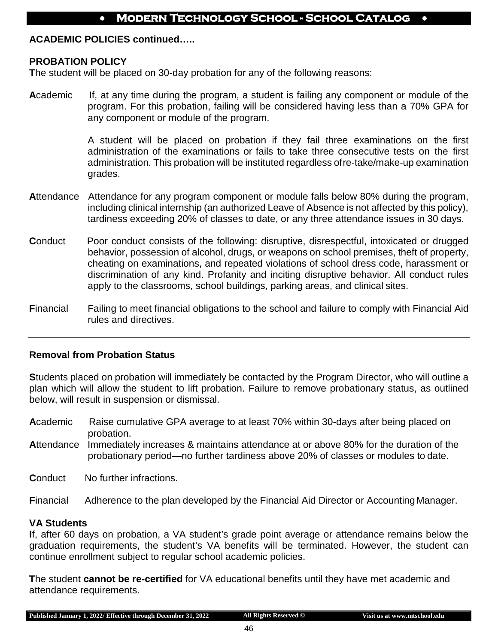#### **ACADEMIC POLICIES continued…..**

#### **PROBATION POLICY**

**T**he student will be placed on 30-day probation for any of the following reasons:

**A**cademic If, at any time during the program, a student is failing any component or module of the program. For this probation, failing will be considered having less than a 70% GPA for any component or module of the program.

> A student will be placed on probation if they fail three examinations on the first administration of the examinations or fails to take three consecutive tests on the first administration. This probation will be instituted regardless ofre-take/make-up examination grades.

- **A**ttendance Attendance for any program component or module falls below 80% during the program, including clinical internship (an authorized Leave of Absence is not affected by this policy), tardiness exceeding 20% of classes to date, or any three attendance issues in 30 days.
- **Conduct** Poor conduct consists of the following: disruptive, disrespectful, intoxicated or drugged behavior, possession of alcohol, drugs, or weapons on school premises, theft of property, cheating on examinations, and repeated violations of school dress code, harassment or discrimination of any kind. Profanity and inciting disruptive behavior. All conduct rules apply to the classrooms, school buildings, parking areas, and clinical sites.
- **F**inancial Failing to meet financial obligations to the school and failure to comply with Financial Aid rules and directives.

#### **Removal from Probation Status**

**S**tudents placed on probation will immediately be contacted by the Program Director, who will outline a plan which will allow the student to lift probation. Failure to remove probationary status, as outlined below, will result in suspension or dismissal.

- **A**cademic Raise cumulative GPA average to at least 70% within 30-days after being placed on probation.
- **A**ttendance Immediately increases & maintains attendance at or above 80% for the duration of the probationary period—no further tardiness above 20% of classes or modules to date.
- **Conduct** No further infractions.

**F**inancial Adherence to the plan developed by the Financial Aid Director or AccountingManager.

#### **VA Students**

**I**f, after 60 days on probation, a VA student's grade point average or attendance remains below the graduation requirements, the student's VA benefits will be terminated. However, the student can continue enrollment subject to regular school academic policies.

**T**he student **cannot be re-certified** for VA educational benefits until they have met academic and attendance requirements.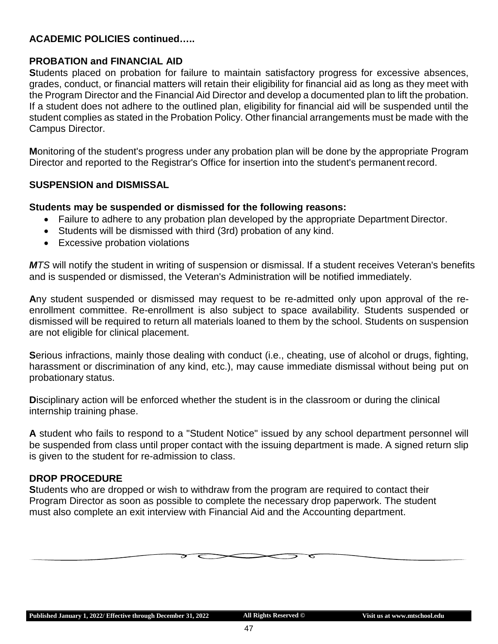#### **ACADEMIC POLICIES continued…..**

#### **PROBATION and FINANCIAL AID**

**S**tudents placed on probation for failure to maintain satisfactory progress for excessive absences, grades, conduct, or financial matters will retain their eligibility for financial aid as long as they meet with the Program Director and the Financial Aid Director and develop a documented plan to lift the probation. If a student does not adhere to the outlined plan, eligibility for financial aid will be suspended until the student complies as stated in the Probation Policy. Other financial arrangements must be made with the Campus Director.

**M**onitoring of the student's progress under any probation plan will be done by the appropriate Program Director and reported to the Registrar's Office for insertion into the student's permanent record.

#### **SUSPENSION and DISMISSAL**

#### **Students may be suspended or dismissed for the following reasons:**

- Failure to adhere to any probation plan developed by the appropriate Department Director.
- Students will be dismissed with third (3rd) probation of any kind.
- Excessive probation violations

*MTS* will notify the student in writing of suspension or dismissal. If a student receives Veteran's benefits and is suspended or dismissed, the Veteran's Administration will be notified immediately.

**A**ny student suspended or dismissed may request to be re-admitted only upon approval of the reenrollment committee. Re-enrollment is also subject to space availability. Students suspended or dismissed will be required to return all materials loaned to them by the school. Students on suspension are not eligible for clinical placement.

**S**erious infractions, mainly those dealing with conduct (i.e., cheating, use of alcohol or drugs, fighting, harassment or discrimination of any kind, etc.), may cause immediate dismissal without being put on probationary status.

**D**isciplinary action will be enforced whether the student is in the classroom or during the clinical internship training phase.

**A** student who fails to respond to a "Student Notice" issued by any school department personnel will be suspended from class until proper contact with the issuing department is made. A signed return slip is given to the student for re-admission to class.

#### **DROP PROCEDURE**

**S**tudents who are dropped or wish to withdraw from the program are required to contact their Program Director as soon as possible to complete the necessary drop paperwork. The student must also complete an exit interview with Financial Aid and the Accounting department.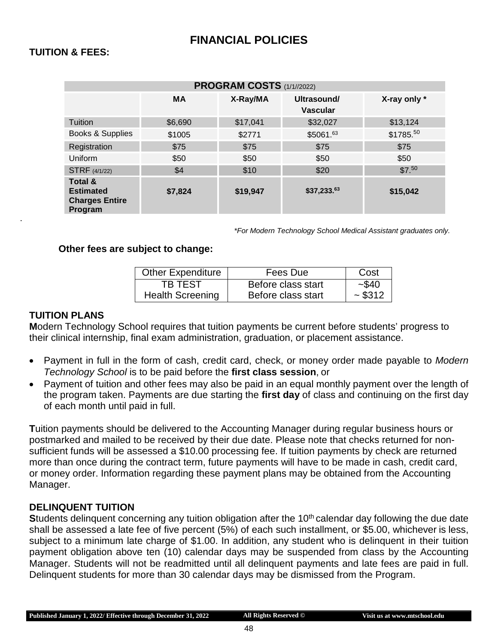#### **TUITION & FEES:**

| PROGRAM COSTS (1/1//2022)                                                         |           |          |                                |              |  |  |  |
|-----------------------------------------------------------------------------------|-----------|----------|--------------------------------|--------------|--|--|--|
|                                                                                   | <b>MA</b> | X-Ray/MA | Ultrasound/<br><b>Vascular</b> | X-ray only * |  |  |  |
| Tuition                                                                           | \$6,690   | \$17,041 | \$32,027                       | \$13,124     |  |  |  |
| Books & Supplies                                                                  | \$1005    | \$2771   | \$5061.63                      | \$1785.50    |  |  |  |
| Registration                                                                      | \$75      | \$75     | \$75                           | \$75         |  |  |  |
| Uniform                                                                           | \$50      | \$50     | \$50                           | \$50         |  |  |  |
| <b>STRF</b> (4/1/22)                                                              | \$4       | \$10     | \$20                           | \$7.50       |  |  |  |
| <b>Total &amp;</b><br><b>Estimated</b><br><b>Charges Entire</b><br><b>Program</b> | \$7,824   | \$19,947 | \$37,233.63                    | \$15,042     |  |  |  |

*\*For Modern Technology School Medical Assistant graduates only.*

#### **Other fees are subject to change:**

| <b>Other Expenditure</b> | Fees Due           | Cost     |
|--------------------------|--------------------|----------|
| TB TEST                  | Before class start | $-$ \$40 |
| <b>Health Screening</b>  | Before class start | ~5312    |

#### **TUITION PLANS**

**.** 

**M**odern Technology School requires that tuition payments be current before students' progress to their clinical internship, final exam administration, graduation, or placement assistance.

- Payment in full in the form of cash, credit card, check, or money order made payable to *Modern Technology School* is to be paid before the **first class session**, or
- Payment of tuition and other fees may also be paid in an equal monthly payment over the length of the program taken. Payments are due starting the **first day** of class and continuing on the first day of each month until paid in full.

**T**uition payments should be delivered to the Accounting Manager during regular business hours or postmarked and mailed to be received by their due date. Please note that checks returned for nonsufficient funds will be assessed a \$10.00 processing fee. If tuition payments by check are returned more than once during the contract term, future payments will have to be made in cash, credit card, or money order. Information regarding these payment plans may be obtained from the Accounting Manager.

#### **DELINQUENT TUITION**

**Students delinquent concerning any tuition obligation after the 10<sup>th</sup> calendar day following the due date** shall be assessed a late fee of five percent (5%) of each such installment, or \$5.00, whichever is less, subject to a minimum late charge of \$1.00. In addition, any student who is delinquent in their tuition payment obligation above ten (10) calendar days may be suspended from class by the Accounting Manager. Students will not be readmitted until all delinquent payments and late fees are paid in full. Delinquent students for more than 30 calendar days may be dismissed from the Program.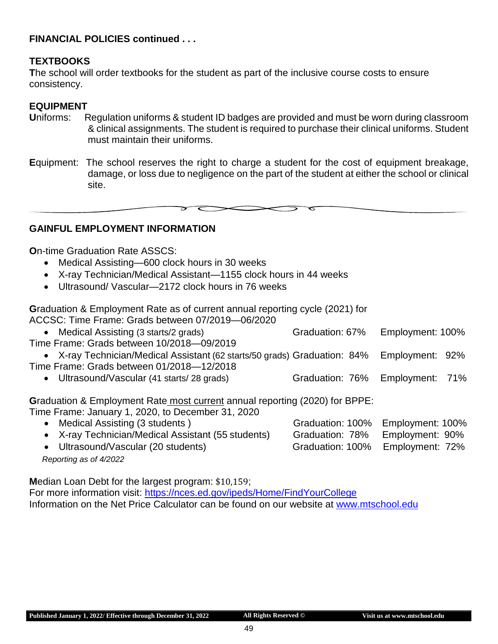#### **FINANCIAL POLICIES continued . . .**

#### **TEXTBOOKS**

**T**he school will order textbooks for the student as part of the inclusive course costs to ensure consistency.

#### **EQUIPMENT**

- **U**niforms: Regulation uniforms & student ID badges are provided and must be worn during classroom & clinical assignments. The student is required to purchase their clinical uniforms. Student must maintain their uniforms.
- **E**quipment: The school reserves the right to charge a student for the cost of equipment breakage, damage, or loss due to negligence on the part of the student at either the school or clinical site.

**GAINFUL EMPLOYMENT INFORMATION**

**O**n-time Graduation Rate ASSCS:

- Medical Assisting—600 clock hours in 30 weeks
- X-ray Technician/Medical Assistant—1155 clock hours in 44 weeks
- Ultrasound/ Vascular—2172 clock hours in 76 weeks

**G**raduation & Employment Rate as of current annual reporting cycle (2021) for ACCSC: Time Frame: Grads between 07/2019—06/2020

- Medical Assisting (3 starts/2 grads) Graduation: 67% Employment: 100% Time Frame: Grads between 10/2018—09/2019 • X-ray Technician/Medical Assistant (62 starts/50 grads) Graduation: 84% Employment: 92%
- Time Frame: Grads between 01/2018—12/2018
	- Ultrasound/Vascular (41 starts/ 28 grads) Graduation: 76% Employment: 71%

**G**raduation & Employment Rate most current annual reporting (2020) for BPPE: Time Frame: January 1, 2020, to December 31, 2020

• Medical Assisting (3 students ) Graduation: 100% Employment: 100% • X-ray Technician/Medical Assistant (55 students) Graduation: 78% Employment: 90% • Ultrasound/Vascular (20 students) Graduation: 100% Employment: 72%

*Reporting as of 4/2022*

**M**edian Loan Debt for the largest program: \$10,159;

For more information visit: <https://nces.ed.gov/ipeds/Home/FindYourCollege> Information on the Net Price Calculator can be found on our website at [www.mtschool.edu](http://www.mtschool.edu/)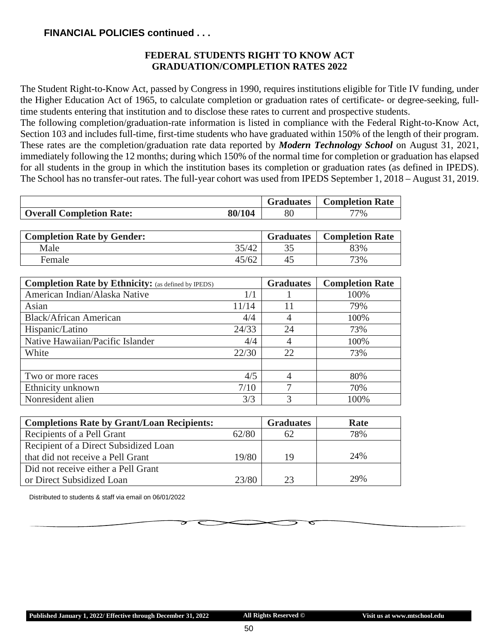#### **FINANCIAL POLICIES continued . . .**

#### **FEDERAL STUDENTS RIGHT TO KNOW ACT GRADUATION/COMPLETION RATES 2022**

The Student Right-to-Know Act, passed by Congress in 1990, requires institutions eligible for Title IV funding, under the Higher Education Act of 1965, to calculate completion or graduation rates of certificate- or degree-seeking, fulltime students entering that institution and to disclose these rates to current and prospective students.

The following completion/graduation-rate information is listed in compliance with the Federal Right-to-Know Act, Section 103 and includes full-time, first-time students who have graduated within 150% of the length of their program. These rates are the completion/graduation rate data reported by *Modern Technology School* on August 31, 2021, immediately following the 12 months; during which 150% of the normal time for completion or graduation has elapsed for all students in the group in which the institution bases its completion or graduation rates (as defined in IPEDS). The School has no transfer-out rates. The full-year cohort was used from IPEDS September 1, 2018 – August 31, 2019.

|                                   |        | <b>Graduates</b> | <b>Completion Rate</b> |
|-----------------------------------|--------|------------------|------------------------|
| <b>Overall Completion Rate:</b>   | 80/104 | 80               | $77\%$                 |
|                                   |        |                  |                        |
| <b>Completion Rate by Gender:</b> |        | <b>Graduates</b> | <b>Completion Rate</b> |
| Male                              | 35/42  | 35               | 83%                    |

Female 2012 23% 25/62 45 45/62

| <b>Completion Rate by Ethnicity:</b> (as defined by IPEDS) |       | <b>Graduates</b> | <b>Completion Rate</b> |
|------------------------------------------------------------|-------|------------------|------------------------|
| American Indian/Alaska Native                              | 1/1   |                  | 100%                   |
| Asian                                                      | 11/14 | 11               | 79%                    |
| <b>Black/African American</b>                              | 4/4   | 4                | 100%                   |
| Hispanic/Latino                                            | 24/33 | 24               | 73%                    |
| Native Hawaiian/Pacific Islander                           | 4/4   | 4                | 100%                   |
| White                                                      | 22/30 | 22               | 73%                    |
|                                                            |       |                  |                        |
| Two or more races                                          | 4/5   | $\overline{4}$   | 80%                    |
| Ethnicity unknown                                          | 7/10  | 7                | 70%                    |
| Nonresident alien                                          | 3/3   | 3                | 100%                   |

| <b>Completions Rate by Grant/Loan Recipients:</b> |       | <b>Graduates</b> | Rate |
|---------------------------------------------------|-------|------------------|------|
| Recipients of a Pell Grant                        | 62/80 | 62               | 78%  |
| Recipient of a Direct Subsidized Loan             |       |                  |      |
| that did not receive a Pell Grant                 | 19/80 | 19               | 24%  |
| Did not receive either a Pell Grant               |       |                  |      |
| or Direct Subsidized Loan                         | 23/80 | 23               | 29%  |

Distributed to students & staff via email on 06/01/2022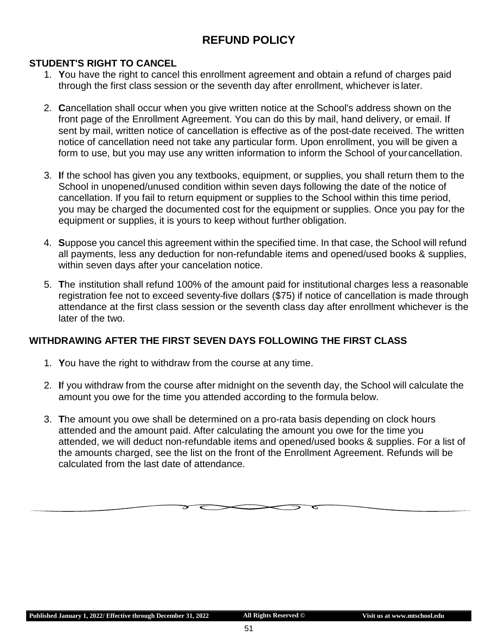## **REFUND POLICY**

#### **STUDENT'S RIGHT TO CANCEL**

- 1. **Y**ou have the right to cancel this enrollment agreement and obtain a refund of charges paid through the first class session or the seventh day after enrollment, whichever is later.
- 2. **C**ancellation shall occur when you give written notice at the School's address shown on the front page of the Enrollment Agreement. You can do this by mail, hand delivery, or email. If sent by mail, written notice of cancellation is effective as of the post-date received. The written notice of cancellation need not take any particular form. Upon enrollment, you will be given a form to use, but you may use any written information to inform the School of yourcancellation.
- 3. **I**f the school has given you any textbooks, equipment, or supplies, you shall return them to the School in unopened/unused condition within seven days following the date of the notice of cancellation. If you fail to return equipment or supplies to the School within this time period, you may be charged the documented cost for the equipment or supplies. Once you pay for the equipment or supplies, it is yours to keep without further obligation.
- 4. **S**uppose you cancel this agreement within the specified time. In that case, the School will refund all payments, less any deduction for non-refundable items and opened/used books & supplies, within seven days after your cancelation notice.
- 5. **T**he institution shall refund 100% of the amount paid for institutional charges less a reasonable registration fee not to exceed seventy-five dollars (\$75) if notice of cancellation is made through attendance at the first class session or the seventh class day after enrollment whichever is the later of the two.

#### **WITHDRAWING AFTER THE FIRST SEVEN DAYS FOLLOWING THE FIRST CLASS**

- 1. **Y**ou have the right to withdraw from the course at any time.
- 2. **I**f you withdraw from the course after midnight on the seventh day, the School will calculate the amount you owe for the time you attended according to the formula below.
- 3. **T**he amount you owe shall be determined on a pro-rata basis depending on clock hours attended and the amount paid. After calculating the amount you owe for the time you attended, we will deduct non-refundable items and opened/used books & supplies. For a list of the amounts charged, see the list on the front of the Enrollment Agreement. Refunds will be calculated from the last date of attendance.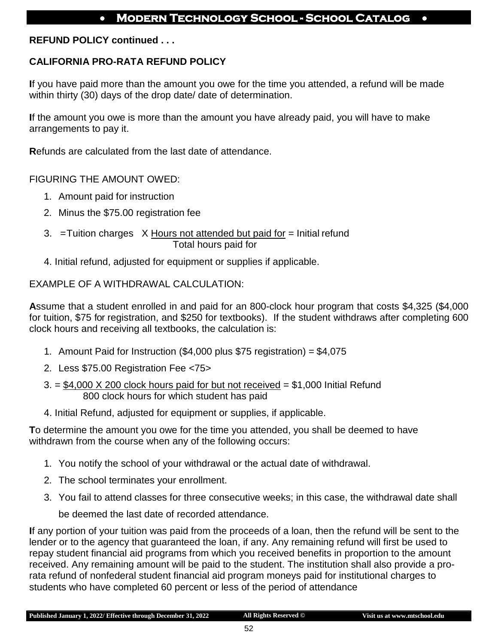#### **REFUND POLICY continued . . .**

### **CALIFORNIA PRO-RATA REFUND POLICY**

**I**f you have paid more than the amount you owe for the time you attended, a refund will be made within thirty (30) days of the drop date/ date of determination.

**I**f the amount you owe is more than the amount you have already paid, you will have to make arrangements to pay it.

**R**efunds are calculated from the last date of attendance.

FIGURING THE AMOUNT OWED:

- 1. Amount paid for instruction
- 2. Minus the \$75.00 registration fee
- 3.  $=$ Tuition charges  $X$  Hours not attended but paid for  $=$  Initial refund Total hours paid for
- 4. Initial refund, adjusted for equipment or supplies if applicable.

#### EXAMPLE OF A WITHDRAWAL CALCULATION:

**A**ssume that a student enrolled in and paid for an 800-clock hour program that costs \$4,325 (\$4,000 for tuition, \$75 for registration, and \$250 for textbooks). If the student withdraws after completing 600 clock hours and receiving all textbooks, the calculation is:

- 1. Amount Paid for Instruction (\$4,000 plus \$75 registration) = \$4,075
- 2. Less \$75.00 Registration Fee <75>
- $3. = $4,000 \times 200$  clock hours paid for but not received  $= $1,000$  Initial Refund 800 clock hours for which student has paid
- 4. Initial Refund, adjusted for equipment or supplies, if applicable.

**T**o determine the amount you owe for the time you attended, you shall be deemed to have withdrawn from the course when any of the following occurs:

- 1. You notify the school of your withdrawal or the actual date of withdrawal.
- 2. The school terminates your enrollment.
- 3. You fail to attend classes for three consecutive weeks; in this case, the withdrawal date shall

be deemed the last date of recorded attendance.

**I**f any portion of your tuition was paid from the proceeds of a loan, then the refund will be sent to the lender or to the agency that guaranteed the loan, if any. Any remaining refund will first be used to repay student financial aid programs from which you received benefits in proportion to the amount received. Any remaining amount will be paid to the student. The institution shall also provide a prorata refund of nonfederal student financial aid program moneys paid for institutional charges to students who have completed 60 percent or less of the period of attendance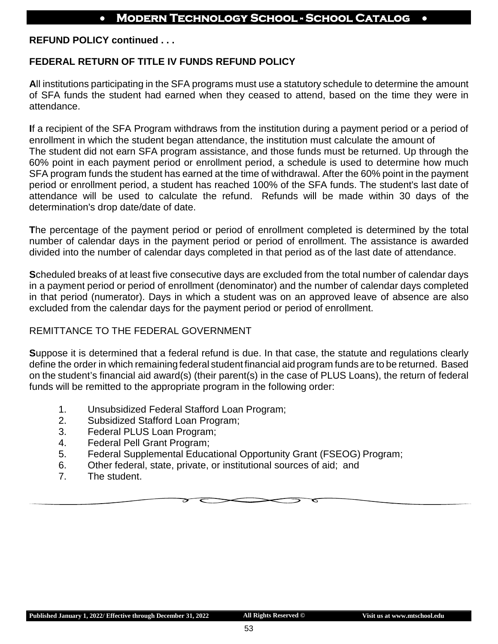**REFUND POLICY continued . . .**

#### **FEDERAL RETURN OF TITLE IV FUNDS REFUND POLICY**

**A**ll institutions participating in the SFA programs must use a statutory schedule to determine the amount of SFA funds the student had earned when they ceased to attend, based on the time they were in attendance.

**I**f a recipient of the SFA Program withdraws from the institution during a payment period or a period of enrollment in which the student began attendance, the institution must calculate the amount of The student did not earn SFA program assistance, and those funds must be returned. Up through the 60% point in each payment period or enrollment period, a schedule is used to determine how much SFA program funds the student has earned at the time of withdrawal. After the 60% point in the payment period or enrollment period, a student has reached 100% of the SFA funds. The student's last date of attendance will be used to calculate the refund. Refunds will be made within 30 days of the determination's drop date/date of date.

**T**he percentage of the payment period or period of enrollment completed is determined by the total number of calendar days in the payment period or period of enrollment. The assistance is awarded divided into the number of calendar days completed in that period as of the last date of attendance.

**S**cheduled breaks of at least five consecutive days are excluded from the total number of calendar days in a payment period or period of enrollment (denominator) and the number of calendar days completed in that period (numerator). Days in which a student was on an approved leave of absence are also excluded from the calendar days for the payment period or period of enrollment.

#### REMITTANCE TO THE FEDERAL GOVERNMENT

**S**uppose it is determined that a federal refund is due. In that case, the statute and regulations clearly define the order in which remaining federal student financial aid program funds are to be returned. Based on the student's financial aid award(s) (their parent(s) in the case of PLUS Loans), the return of federal funds will be remitted to the appropriate program in the following order:

- 1. Unsubsidized Federal Stafford Loan Program;
- 2. Subsidized Stafford Loan Program;
- 3. Federal PLUS Loan Program;
- 4. Federal Pell Grant Program;
- 5. Federal Supplemental Educational Opportunity Grant (FSEOG) Program;
- 6. Other federal, state, private, or institutional sources of aid; and
- 7. The student.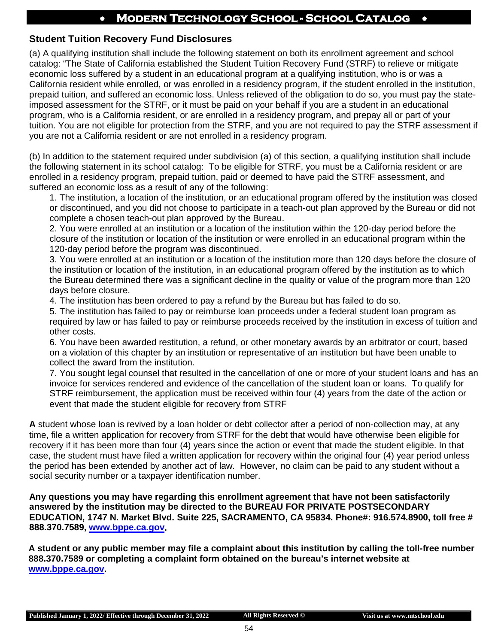#### **Student Tuition Recovery Fund Disclosures**

(a) A qualifying institution shall include the following statement on both its enrollment agreement and school catalog: "The State of California established the Student Tuition Recovery Fund (STRF) to relieve or mitigate economic loss suffered by a student in an educational program at a qualifying institution, who is or was a California resident while enrolled, or was enrolled in a residency program, if the student enrolled in the institution, prepaid tuition, and suffered an economic loss. Unless relieved of the obligation to do so, you must pay the stateimposed assessment for the STRF, or it must be paid on your behalf if you are a student in an educational program, who is a California resident, or are enrolled in a residency program, and prepay all or part of your tuition. You are not eligible for protection from the STRF, and you are not required to pay the STRF assessment if you are not a California resident or are not enrolled in a residency program.

(b) In addition to the statement required under subdivision (a) of this section, a qualifying institution shall include the following statement in its school catalog: To be eligible for STRF, you must be a California resident or are enrolled in a residency program, prepaid tuition, paid or deemed to have paid the STRF assessment, and suffered an economic loss as a result of any of the following:

1. The institution, a location of the institution, or an educational program offered by the institution was closed or discontinued, and you did not choose to participate in a teach-out plan approved by the Bureau or did not complete a chosen teach-out plan approved by the Bureau.

2. You were enrolled at an institution or a location of the institution within the 120-day period before the closure of the institution or location of the institution or were enrolled in an educational program within the 120-day period before the program was discontinued.

3. You were enrolled at an institution or a location of the institution more than 120 days before the closure of the institution or location of the institution, in an educational program offered by the institution as to which the Bureau determined there was a significant decline in the quality or value of the program more than 120 days before closure.

4. The institution has been ordered to pay a refund by the Bureau but has failed to do so.

5. The institution has failed to pay or reimburse loan proceeds under a federal student loan program as required by law or has failed to pay or reimburse proceeds received by the institution in excess of tuition and other costs.

6. You have been awarded restitution, a refund, or other monetary awards by an arbitrator or court, based on a violation of this chapter by an institution or representative of an institution but have been unable to collect the award from the institution.

7. You sought legal counsel that resulted in the cancellation of one or more of your student loans and has an invoice for services rendered and evidence of the cancellation of the student loan or loans. To qualify for STRF reimbursement, the application must be received within four (4) years from the date of the action or event that made the student eligible for recovery from STRF

**A** student whose loan is revived by a loan holder or debt collector after a period of non-collection may, at any time, file a written application for recovery from STRF for the debt that would have otherwise been eligible for recovery if it has been more than four (4) years since the action or event that made the student eligible. In that case, the student must have filed a written application for recovery within the original four (4) year period unless the period has been extended by another act of law. However, no claim can be paid to any student without a social security number or a taxpayer identification number.

**Any questions you may have regarding this enrollment agreement that have not been satisfactorily answered by the institution may be directed to the BUREAU FOR PRIVATE POSTSECONDARY EDUCATION, 1747 N. Market Blvd. Suite 225, SACRAMENTO, CA 95834. Phone#: 916.574.8900, toll free # 888.370.7589, [www.bppe.ca.gov.](http://www.bppe.ca.gov/)** 

**A student or any public member may file a complaint about this institution by calling the toll-free number 888.370.7589 or completing a complaint form obtained on the bureau's internet website at [www.bppe.ca.gov.](http://www.bppe.ca.gov/)**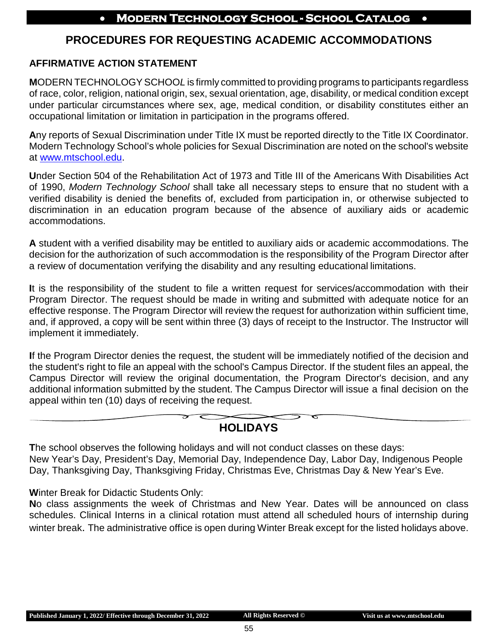## **PROCEDURES FOR REQUESTING ACADEMIC ACCOMMODATIONS**

#### **AFFIRMATIVE ACTION STATEMENT**

**M**ODERN TECHNOLOGYSCHOO*L* is firmly committed to providing programs to participants regardless of race, color, religion, national origin, sex, sexual orientation, age, disability, or medical condition except under particular circumstances where sex, age, medical condition, or disability constitutes either an occupational limitation or limitation in participation in the programs offered.

**A**ny reports of Sexual Discrimination under Title IX must be reported directly to the Title IX Coordinator. Modern Technology School's whole policies for Sexual Discrimination are noted on the school's website at [www.mtschool.edu.](http://www.mtschool.edu/)

**U**nder Section 504 of the Rehabilitation Act of 1973 and Title III of the Americans With Disabilities Act of 1990, *Modern Technology School* shall take all necessary steps to ensure that no student with a verified disability is denied the benefits of, excluded from participation in, or otherwise subjected to discrimination in an education program because of the absence of auxiliary aids or academic accommodations.

**A** student with a verified disability may be entitled to auxiliary aids or academic accommodations. The decision for the authorization of such accommodation is the responsibility of the Program Director after a review of documentation verifying the disability and any resulting educational limitations.

**I**t is the responsibility of the student to file a written request for services/accommodation with their Program Director. The request should be made in writing and submitted with adequate notice for an effective response. The Program Director will review the request for authorization within sufficient time, and, if approved, a copy will be sent within three (3) days of receipt to the Instructor. The Instructor will implement it immediately.

**I**f the Program Director denies the request, the student will be immediately notified of the decision and the student's right to file an appeal with the school's Campus Director. If the student files an appeal, the Campus Director will review the original documentation, the Program Director's decision, and any additional information submitted by the student. The Campus Director will issue a final decision on the appeal within ten (10) days of receiving the request.

## **HOLIDAYS**

**T**he school observes the following holidays and will not conduct classes on these days: New Year's Day, President's Day, Memorial Day, Independence Day, Labor Day, Indigenous People Day, Thanksgiving Day, Thanksgiving Friday, Christmas Eve, Christmas Day & New Year's Eve.

**W**inter Break for Didactic Students Only:

**N**o class assignments the week of Christmas and New Year. Dates will be announced on class schedules. Clinical Interns in a clinical rotation must attend all scheduled hours of internship during winter break. The administrative office is open during Winter Break except for the listed holidays above.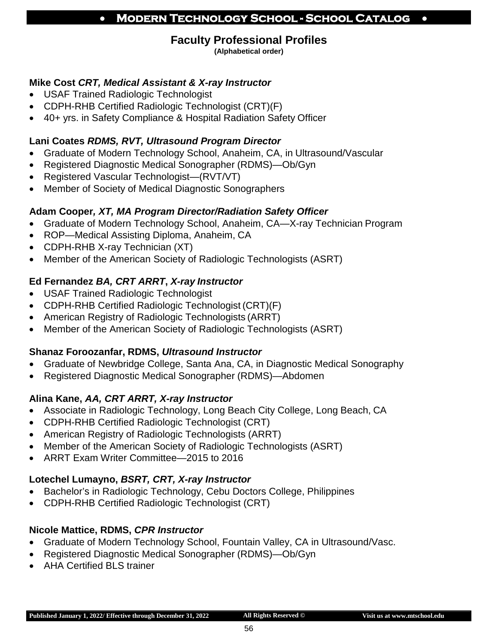## **Faculty Professional Profiles**

**(Alphabetical order)**

#### **Mike Cost** *CRT, Medical Assistant & X-ray Instructor*

- USAF Trained Radiologic Technologist
- CDPH-RHB Certified Radiologic Technologist (CRT)(F)
- 40+ yrs. in Safety Compliance & Hospital Radiation Safety Officer

#### **Lani Coates** *RDMS, RVT, Ultrasound Program Director*

- Graduate of Modern Technology School, Anaheim, CA, in Ultrasound/Vascular
- Registered Diagnostic Medical Sonographer (RDMS)—Ob/Gyn
- Registered Vascular Technologist—(RVT/VT)
- Member of Society of Medical Diagnostic Sonographers

#### **Adam Cooper***, XT, MA Program Director/Radiation Safety Officer*

- Graduate of Modern Technology School, Anaheim, CA—X-ray Technician Program
- ROP—Medical Assisting Diploma, Anaheim, CA
- CDPH-RHB X-ray Technician (XT)
- Member of the American Society of Radiologic Technologists (ASRT)

#### **Ed Fernandez** *BA, CRT ARRT***,** *X-ray Instructor*

- USAF Trained Radiologic Technologist
- CDPH-RHB Certified Radiologic Technologist (CRT)(F)
- American Registry of Radiologic Technologists (ARRT)
- Member of the American Society of Radiologic Technologists (ASRT)

#### **Shanaz Foroozanfar, RDMS,** *Ultrasound Instructor*

- Graduate of Newbridge College, Santa Ana, CA, in Diagnostic Medical Sonography
- Registered Diagnostic Medical Sonographer (RDMS)—Abdomen

#### **Alina Kane,** *AA, CRT ARRT, X-ray Instructor*

- Associate in Radiologic Technology, Long Beach City College, Long Beach, CA
- CDPH-RHB Certified Radiologic Technologist (CRT)
- American Registry of Radiologic Technologists (ARRT)
- Member of the American Society of Radiologic Technologists (ASRT)
- ARRT Exam Writer Committee—2015 to 2016

#### **Lotechel Lumayno,** *BSRT, CRT, X-ray Instructor*

- Bachelor's in Radiologic Technology, Cebu Doctors College, Philippines
- CDPH-RHB Certified Radiologic Technologist (CRT)

#### **Nicole Mattice, RDMS,** *CPR Instructor*

- Graduate of Modern Technology School, Fountain Valley, CA in Ultrasound/Vasc.
- Registered Diagnostic Medical Sonographer (RDMS)—Ob/Gyn
- AHA Certified BLS trainer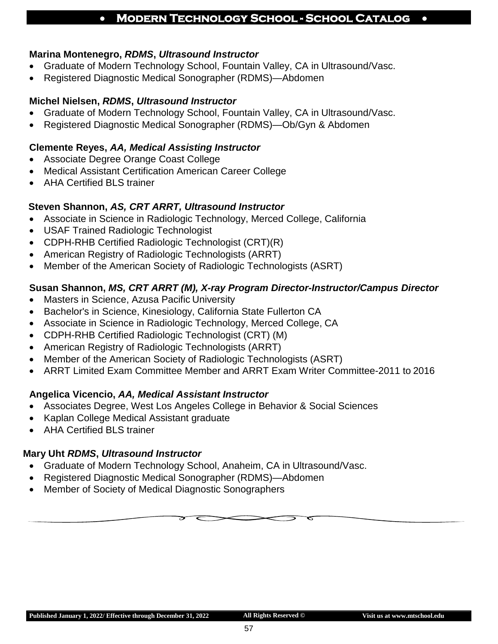#### **Marina Montenegro,** *RDMS***,** *Ultrasound Instructor*

- Graduate of Modern Technology School, Fountain Valley, CA in Ultrasound/Vasc.
- Registered Diagnostic Medical Sonographer (RDMS)—Abdomen

#### **Michel Nielsen,** *RDMS***,** *Ultrasound Instructor*

- Graduate of Modern Technology School, Fountain Valley, CA in Ultrasound/Vasc.
- Registered Diagnostic Medical Sonographer (RDMS)—Ob/Gyn & Abdomen

#### **Clemente Reyes,** *AA, Medical Assisting Instructor*

- Associate Degree Orange Coast College
- Medical Assistant Certification American Career College
- AHA Certified BLS trainer

#### **Steven Shannon,** *AS, CRT ARRT, Ultrasound Instructor*

- Associate in Science in Radiologic Technology, Merced College, California
- USAF Trained Radiologic Technologist
- CDPH-RHB Certified Radiologic Technologist (CRT)(R)
- American Registry of Radiologic Technologists (ARRT)
- Member of the American Society of Radiologic Technologists (ASRT)

#### **Susan Shannon,** *MS, CRT ARRT (M), X-ray Program Director-Instructor/Campus Director*

- Masters in Science, Azusa Pacific University
- Bachelor's in Science, Kinesiology, California State Fullerton CA
- Associate in Science in Radiologic Technology, Merced College, CA
- CDPH-RHB Certified Radiologic Technologist (CRT) (M)
- American Registry of Radiologic Technologists (ARRT)
- Member of the American Society of Radiologic Technologists (ASRT)
- ARRT Limited Exam Committee Member and ARRT Exam Writer Committee-2011 to 2016

#### **Angelica Vicencio,** *AA, Medical Assistant Instructor*

- Associates Degree, West Los Angeles College in Behavior & Social Sciences
- Kaplan College Medical Assistant graduate
- AHA Certified BLS trainer

#### **Mary Uht** *RDMS***,** *Ultrasound Instructor*

- Graduate of Modern Technology School, Anaheim, CA in Ultrasound/Vasc.
- Registered Diagnostic Medical Sonographer (RDMS)—Abdomen
- Member of Society of Medical Diagnostic Sonographers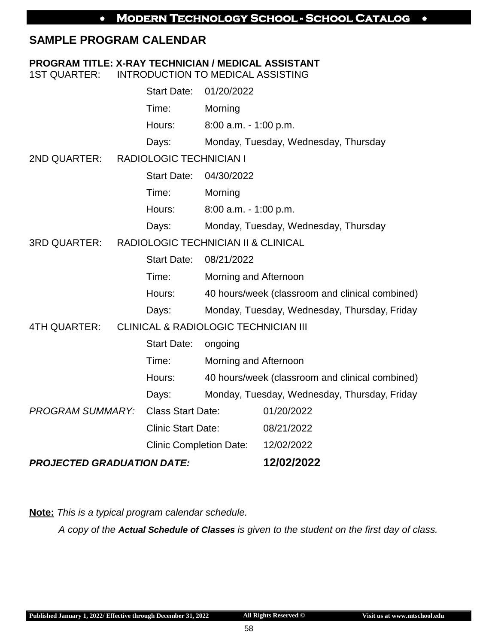## **SAMPLE PROGRAM CALENDAR**

#### **PROGRAM TITLE: X-RAY TECHNICIAN / MEDICAL ASSISTANT**

1ST QUARTER: INTRODUCTION TO MEDICAL ASSISTING

| Start Date: 01/20/2022 |                                      |
|------------------------|--------------------------------------|
| Time:                  | Morning                              |
| Hours:                 | $8:00$ a.m. $-1:00$ p.m.             |
| Days:                  | Monday, Tuesday, Wednesday, Thursday |

2ND QUARTER: RADIOLOGIC TECHNICIAN I

|        | Start Date: 04/30/2022               |
|--------|--------------------------------------|
| Time:  | Morning                              |
| Hours: | $8:00$ a.m. $-1:00$ p.m.             |
| Days:  | Monday, Tuesday, Wednesday, Thursday |
|        |                                      |

#### 3RD QUARTER: RADIOLOGIC TECHNICIAN II & CLINICAL

Start Date: 08/21/2022

Time: Morning and Afternoon

- Hours: 40 hours/week (classroom and clinical combined)
- Days: Monday, Tuesday, Wednesday, Thursday, Friday

#### 4TH QUARTER: CLINICAL & RADIOLOGIC TECHNICIAN III

|                                   | <b>Start Date:</b>             | ongoing               |                                                 |
|-----------------------------------|--------------------------------|-----------------------|-------------------------------------------------|
|                                   | Time:                          | Morning and Afternoon |                                                 |
|                                   | Hours:                         |                       | 40 hours/week (classroom and clinical combined) |
|                                   | Days:                          |                       | Monday, Tuesday, Wednesday, Thursday, Friday    |
| <b>PROGRAM SUMMARY:</b>           | <b>Class Start Date:</b>       |                       | 01/20/2022                                      |
|                                   | <b>Clinic Start Date:</b>      |                       | 08/21/2022                                      |
|                                   | <b>Clinic Completion Date:</b> |                       | 12/02/2022                                      |
| <b>PROJECTED GRADUATION DATE:</b> |                                |                       | 12/02/2022                                      |

**Note:** *This is a typical program calendar schedule.*

*A copy of the Actual Schedule of Classes is given to the student on the first day of class.*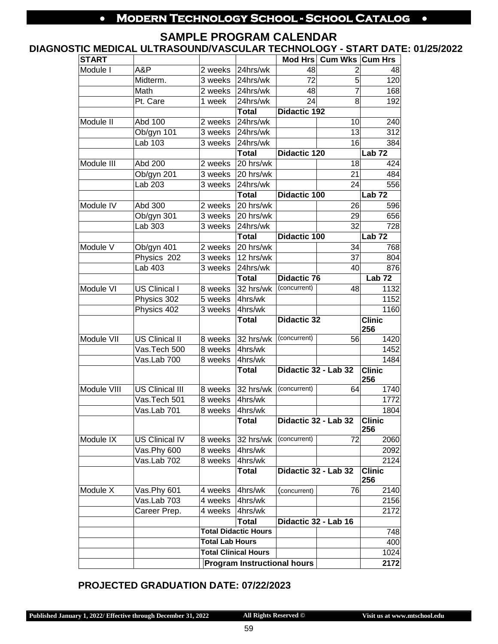#### **SAMPLE PROGRAM CALENDAR**

#### **DIAGNOSTIC MEDICAL ULTRASOUND/VASCULAR TECHNOLOGY - START DATE: 01/25/2022**

| <b>START</b> |                        |         |                                                       |                      | Mod Hrs Cum Wks Cum Hrs |                                   |
|--------------|------------------------|---------|-------------------------------------------------------|----------------------|-------------------------|-----------------------------------|
| Module I     | A&P                    | 2 weeks | 24hrs/wk                                              | 48                   | 2                       | 48                                |
|              | Midterm.               | 3 weeks | 24hrs/wk                                              | 72                   | 5                       | 120                               |
|              | Math                   | 2 weeks | 24hrs/wk                                              | 48                   | 7                       | 168                               |
|              | Pt. Care               | 1 week  | 24hrs/wk                                              | 24                   | 8                       | 192                               |
|              |                        |         | <b>Total</b>                                          | <b>Didactic 192</b>  |                         |                                   |
| Module II    | Abd 100                | 2 weeks | 24hrs/wk                                              |                      | 10                      | 240                               |
|              | Ob/gyn 101             | 3 weeks | 24hrs/wk                                              |                      | 13                      | 312                               |
|              | Lab 103                | 3 weeks | 24hrs/wk                                              |                      | 16                      | 384                               |
|              |                        |         | <b>Total</b>                                          | <b>Didactic 120</b>  |                         | Lab $\overline{72}$               |
| Module III   | Abd 200                | 2 weeks | 20 hrs/wk                                             |                      | 18                      | 424                               |
|              | Ob/gyn 201             | 3 weeks | 20 hrs/wk                                             |                      | $\overline{21}$         | 484                               |
|              | Lab 203                | 3 weeks | 24hrs/wk                                              |                      | 24                      | 556                               |
|              |                        |         | <b>Total</b>                                          | <b>Didactic 100</b>  |                         | Lab <sub>72</sub>                 |
| Module IV    | Abd 300                | 2 weeks | 20 hrs/wk                                             |                      | 26                      | 596                               |
|              | Ob/gyn 301             | 3 weeks | 20 hrs/wk                                             |                      | 29                      | 656                               |
|              | Lab 303                | 3 weeks | 24hrs/wk                                              |                      | 32                      | 728                               |
|              |                        |         | <b>Total</b>                                          | <b>Didactic 100</b>  |                         | $Lab$ 72                          |
| Module V     | Ob/gyn 401             | 2 weeks | 20 hrs/wk                                             |                      | 34                      | 768                               |
|              | Physics 202            | 3 weeks | 12 hrs/wk                                             |                      | 37                      | 804                               |
|              | Lab 403                | 3 weeks | 24hrs/wk                                              |                      | 40                      | 876                               |
|              |                        |         | <b>Total</b>                                          | <b>Didactic 76</b>   |                         | Lab <sub>72</sub>                 |
| Module VI    | <b>US Clinical I</b>   | 8 weeks | 32 hrs/wk                                             | (concurrent)         | 48                      | 1132                              |
|              | Physics 302            | 5 weeks | 4hrs/wk                                               |                      |                         | 1152                              |
|              | Physics 402            | 3 weeks | 4hrs/wk                                               |                      |                         | 1160                              |
|              |                        |         | Total                                                 | <b>Didactic 32</b>   |                         | <b>Clinic</b><br>256              |
| Module VII   | US Clinical II         | 8 weeks | 32 hrs/wk                                             | (concurrent)         | 56                      | 1420                              |
|              | Vas.Tech 500           | 8 weeks | 4hrs/wk                                               |                      |                         | 1452                              |
|              | Vas.Lab 700            | 8 weeks | 4hrs/wk                                               |                      |                         | 1484                              |
|              |                        |         | <b>Total</b>                                          | Didactic 32 - Lab 32 |                         | $\overline{\text{Clinic}}$<br>256 |
| Module VIII  | <b>US Clinical III</b> | 8 weeks | 32 hrs/wk                                             | (concurrent)         | 64                      | 1740                              |
|              | Vas.Tech 501           | 8 weeks | 4hrs/wk                                               |                      |                         | 1772                              |
|              | Vas.Lab 701            | 8 weeks | 4hrs/wk                                               |                      |                         | 1804                              |
|              |                        |         | Total                                                 | Didactic 32 - Lab 32 |                         | Clinic<br>256                     |
| Module IX    | <b>US Clinical IV</b>  | 8 weeks | 32 hrs/wk                                             | (concurrent)         | 72                      | 2060                              |
|              | Vas.Phy 600            | 8 weeks | 4hrs/wk                                               |                      |                         | 2092                              |
|              | Vas.Lab 702            | 8 weeks | 4hrs/wk                                               |                      |                         | 2124                              |
|              |                        |         | <b>Total</b>                                          | Didactic 32 - Lab 32 |                         | <b>Clinic</b><br>256              |
| Module X     | Vas.Phy 601            | 4 weeks | 4hrs/wk                                               | (concurrent)         | 76                      | 2140                              |
|              | Vas.Lab 703            | 4 weeks | 4hrs/wk                                               |                      |                         | 2156                              |
|              | Career Prep.           | 4 weeks | 4hrs/wk                                               |                      |                         | 2172                              |
|              |                        |         | Total                                                 | Didactic 32 - Lab 16 |                         |                                   |
|              |                        |         | <b>Total Didactic Hours</b><br><b>Total Lab Hours</b> |                      | 748                     |                                   |
|              |                        |         |                                                       |                      |                         | 400                               |
|              |                        |         | <b>Total Clinical Hours</b>                           |                      |                         | 1024                              |
|              |                        |         | <b>Program Instructional hours</b>                    |                      |                         | 2172                              |

#### **PROJECTED GRADUATION DATE: 07/22/2023**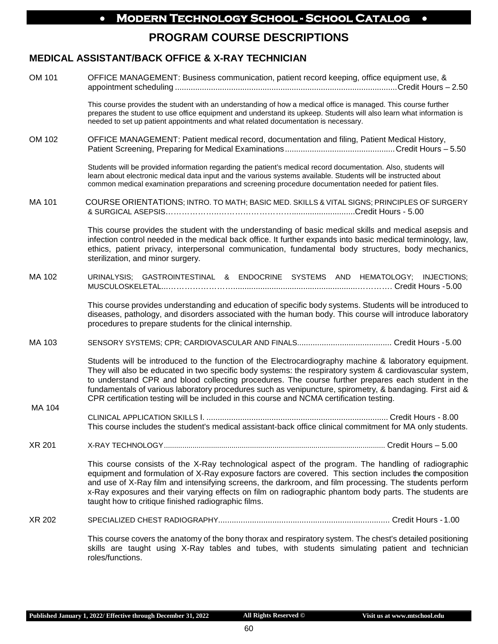## **PROGRAM COURSE DESCRIPTIONS**

#### **MEDICAL ASSISTANT/BACK OFFICE & X-RAY TECHNICIAN**

| OM 101        | OFFICE MANAGEMENT: Business communication, patient record keeping, office equipment use, &                                                                                                                                                                                                                                                                                                                                                                                                                                        |
|---------------|-----------------------------------------------------------------------------------------------------------------------------------------------------------------------------------------------------------------------------------------------------------------------------------------------------------------------------------------------------------------------------------------------------------------------------------------------------------------------------------------------------------------------------------|
|               | This course provides the student with an understanding of how a medical office is managed. This course further<br>prepares the student to use office equipment and understand its upkeep. Students will also learn what information is<br>needed to set up patient appointments and what related documentation is necessary.                                                                                                                                                                                                      |
| OM 102        | OFFICE MANAGEMENT: Patient medical record, documentation and filing, Patient Medical History,                                                                                                                                                                                                                                                                                                                                                                                                                                     |
|               | Students will be provided information regarding the patient's medical record documentation. Also, students will<br>learn about electronic medical data input and the various systems available. Students will be instructed about<br>common medical examination preparations and screening procedure documentation needed for patient files.                                                                                                                                                                                      |
| <b>MA 101</b> | COURSE ORIENTATIONS; INTRO. TO MATH; BASIC MED. SKILLS & VITAL SIGNS; PRINCIPLES OF SURGERY                                                                                                                                                                                                                                                                                                                                                                                                                                       |
|               | This course provides the student with the understanding of basic medical skills and medical asepsis and<br>infection control needed in the medical back office. It further expands into basic medical terminology, law,<br>ethics, patient privacy, interpersonal communication, fundamental body structures, body mechanics,<br>sterilization, and minor surgery.                                                                                                                                                                |
| MA 102        | URINALYSIS; GASTROINTESTINAL & ENDOCRINE SYSTEMS AND HEMATOLOGY; INJECTIONS;                                                                                                                                                                                                                                                                                                                                                                                                                                                      |
|               | This course provides understanding and education of specific body systems. Students will be introduced to<br>diseases, pathology, and disorders associated with the human body. This course will introduce laboratory<br>procedures to prepare students for the clinical internship.                                                                                                                                                                                                                                              |
| MA 103        |                                                                                                                                                                                                                                                                                                                                                                                                                                                                                                                                   |
|               | Students will be introduced to the function of the Electrocardiography machine & laboratory equipment.<br>They will also be educated in two specific body systems: the respiratory system & cardiovascular system,<br>to understand CPR and blood collecting procedures. The course further prepares each student in the<br>fundamentals of various laboratory procedures such as venipuncture, spirometry, & bandaging. First aid &<br>CPR certification testing will be included in this course and NCMA certification testing. |
| MA 104        | This course includes the student's medical assistant-back office clinical commitment for MA only students.                                                                                                                                                                                                                                                                                                                                                                                                                        |
| <b>XR 201</b> |                                                                                                                                                                                                                                                                                                                                                                                                                                                                                                                                   |
|               | This course consists of the X-Ray technological aspect of the program. The handling of radiographic<br>equipment and formulation of X-Ray exposure factors are covered. This section includes the composition<br>and use of X-Ray film and intensifying screens, the darkroom, and film processing. The students perform<br>x-Ray exposures and their varying effects on film on radiographic phantom body parts. The students are<br>taught how to critique finished radiographic films.                                         |
| XR 202        |                                                                                                                                                                                                                                                                                                                                                                                                                                                                                                                                   |
|               | This course covers the anatomy of the bony thorax and respiratory system. The chest's detailed positioning<br>skills are taught using X-Ray tables and tubes, with students simulating patient and technician                                                                                                                                                                                                                                                                                                                     |

**Published January 1, 2022/ Effective through December 31, 2022 All Rights Reserved ©**

roles/functions.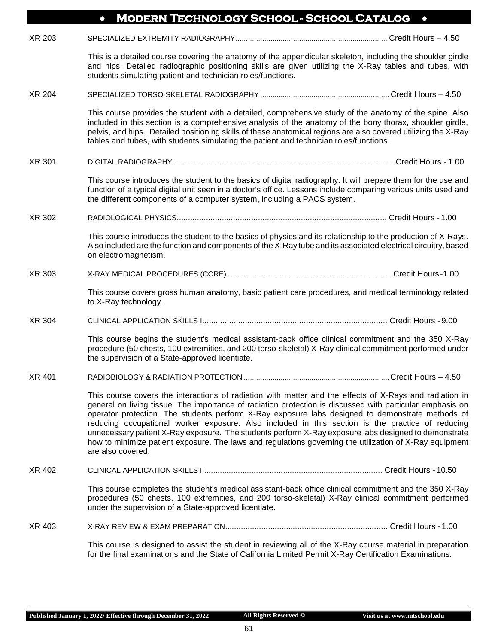|               | <b>MODERN TECHNOLOGY SCHOOL - SCHOOL CATALOG</b><br>$\bullet$                                                                                                                                                                                                                                                                                                                                                                                                                                                                                                                                                                                                        |
|---------------|----------------------------------------------------------------------------------------------------------------------------------------------------------------------------------------------------------------------------------------------------------------------------------------------------------------------------------------------------------------------------------------------------------------------------------------------------------------------------------------------------------------------------------------------------------------------------------------------------------------------------------------------------------------------|
| XR 203        |                                                                                                                                                                                                                                                                                                                                                                                                                                                                                                                                                                                                                                                                      |
|               | This is a detailed course covering the anatomy of the appendicular skeleton, including the shoulder girdle<br>and hips. Detailed radiographic positioning skills are given utilizing the X-Ray tables and tubes, with<br>students simulating patient and technician roles/functions.                                                                                                                                                                                                                                                                                                                                                                                 |
| <b>XR 204</b> |                                                                                                                                                                                                                                                                                                                                                                                                                                                                                                                                                                                                                                                                      |
|               | This course provides the student with a detailed, comprehensive study of the anatomy of the spine. Also<br>included in this section is a comprehensive analysis of the anatomy of the bony thorax, shoulder girdle,<br>pelvis, and hips. Detailed positioning skills of these anatomical regions are also covered utilizing the X-Ray<br>tables and tubes, with students simulating the patient and technician roles/functions.                                                                                                                                                                                                                                      |
| XR 301        |                                                                                                                                                                                                                                                                                                                                                                                                                                                                                                                                                                                                                                                                      |
|               | This course introduces the student to the basics of digital radiography. It will prepare them for the use and<br>function of a typical digital unit seen in a doctor's office. Lessons include comparing various units used and<br>the different components of a computer system, including a PACS system.                                                                                                                                                                                                                                                                                                                                                           |
| XR 302        |                                                                                                                                                                                                                                                                                                                                                                                                                                                                                                                                                                                                                                                                      |
|               | This course introduces the student to the basics of physics and its relationship to the production of X-Rays.<br>Also included are the function and components of the X-Ray tube and its associated electrical circuitry, based<br>on electromagnetism.                                                                                                                                                                                                                                                                                                                                                                                                              |
| XR 303        |                                                                                                                                                                                                                                                                                                                                                                                                                                                                                                                                                                                                                                                                      |
|               | This course covers gross human anatomy, basic patient care procedures, and medical terminology related<br>to X-Ray technology.                                                                                                                                                                                                                                                                                                                                                                                                                                                                                                                                       |
| XR 304        |                                                                                                                                                                                                                                                                                                                                                                                                                                                                                                                                                                                                                                                                      |
|               | This course begins the student's medical assistant-back office clinical commitment and the 350 X-Ray<br>procedure (50 chests, 100 extremities, and 200 torso-skeletal) X-Ray clinical commitment performed under<br>the supervision of a State-approved licentiate.                                                                                                                                                                                                                                                                                                                                                                                                  |
| XR 401        | Credit Hours $-4.50$                                                                                                                                                                                                                                                                                                                                                                                                                                                                                                                                                                                                                                                 |
|               | This course covers the interactions of radiation with matter and the effects of X-Rays and radiation in<br>general on living tissue. The importance of radiation protection is discussed with particular emphasis on<br>operator protection. The students perform X-Ray exposure labs designed to demonstrate methods of<br>reducing occupational worker exposure. Also included in this section is the practice of reducing<br>unnecessary patient X-Ray exposure. The students perform X-Ray exposure labs designed to demonstrate<br>how to minimize patient exposure. The laws and regulations governing the utilization of X-Ray equipment<br>are also covered. |
| XR 402        |                                                                                                                                                                                                                                                                                                                                                                                                                                                                                                                                                                                                                                                                      |
|               | This course completes the student's medical assistant-back office clinical commitment and the 350 X-Ray<br>procedures (50 chests, 100 extremities, and 200 torso-skeletal) X-Ray clinical commitment performed<br>under the supervision of a State-approved licentiate.                                                                                                                                                                                                                                                                                                                                                                                              |
| XR 403        |                                                                                                                                                                                                                                                                                                                                                                                                                                                                                                                                                                                                                                                                      |
|               | This course is designed to assist the student in reviewing all of the X-Ray course material in preparation<br>for the final examinations and the State of California Limited Permit X-Ray Certification Examinations.                                                                                                                                                                                                                                                                                                                                                                                                                                                |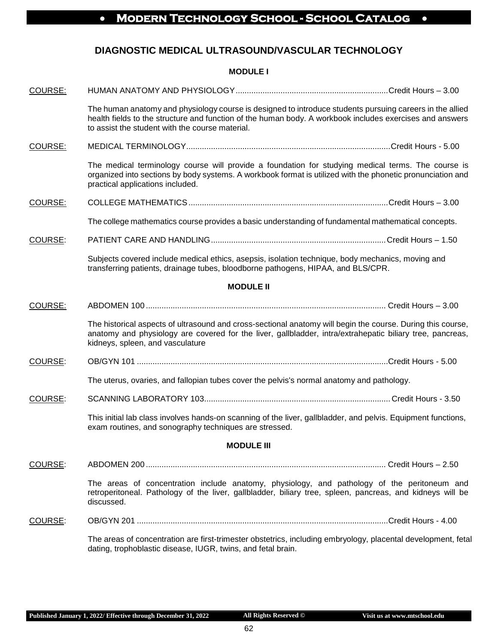#### **DIAGNOSTIC MEDICAL ULTRASOUND/VASCULAR TECHNOLOGY**

#### **MODULE I**

| COURSE:           |                                                                                                                                                                                                                                                                         |  |  |  |
|-------------------|-------------------------------------------------------------------------------------------------------------------------------------------------------------------------------------------------------------------------------------------------------------------------|--|--|--|
|                   | The human anatomy and physiology course is designed to introduce students pursuing careers in the allied<br>health fields to the structure and function of the human body. A workbook includes exercises and answers<br>to assist the student with the course material. |  |  |  |
| COURSE:           |                                                                                                                                                                                                                                                                         |  |  |  |
|                   | The medical terminology course will provide a foundation for studying medical terms. The course is<br>organized into sections by body systems. A workbook format is utilized with the phonetic pronunciation and<br>practical applications included.                    |  |  |  |
| COURSE:           |                                                                                                                                                                                                                                                                         |  |  |  |
|                   | The college mathematics course provides a basic understanding of fundamental mathematical concepts.                                                                                                                                                                     |  |  |  |
| COURSE:           |                                                                                                                                                                                                                                                                         |  |  |  |
|                   | Subjects covered include medical ethics, asepsis, isolation technique, body mechanics, moving and<br>transferring patients, drainage tubes, bloodborne pathogens, HIPAA, and BLS/CPR.                                                                                   |  |  |  |
|                   | <b>MODULE II</b>                                                                                                                                                                                                                                                        |  |  |  |
| COURSE:           |                                                                                                                                                                                                                                                                         |  |  |  |
|                   | The historical aspects of ultrasound and cross-sectional anatomy will begin the course. During this course,<br>anatomy and physiology are covered for the liver, gallbladder, intra/extrahepatic biliary tree, pancreas,<br>kidneys, spleen, and vasculature            |  |  |  |
| COURSE:           |                                                                                                                                                                                                                                                                         |  |  |  |
|                   | The uterus, ovaries, and fallopian tubes cover the pelvis's normal anatomy and pathology.                                                                                                                                                                               |  |  |  |
| COURSE:           |                                                                                                                                                                                                                                                                         |  |  |  |
|                   | This initial lab class involves hands-on scanning of the liver, gallbladder, and pelvis. Equipment functions,<br>exam routines, and sonography techniques are stressed.                                                                                                 |  |  |  |
| <b>MODULE III</b> |                                                                                                                                                                                                                                                                         |  |  |  |
| COURSE:           |                                                                                                                                                                                                                                                                         |  |  |  |
|                   | The areas of concentration include anatomy, physiology, and pathology of the peritoneum and<br>retroperitoneal. Pathology of the liver, gallbladder, biliary tree, spleen, pancreas, and kidneys will be<br>discussed.                                                  |  |  |  |
| COURSE:           |                                                                                                                                                                                                                                                                         |  |  |  |
|                   | The areas of concentration are first-trimester obstetrics, including embryology, placental development, fetal<br>dating, trophoblastic disease, IUGR, twins, and fetal brain.                                                                                           |  |  |  |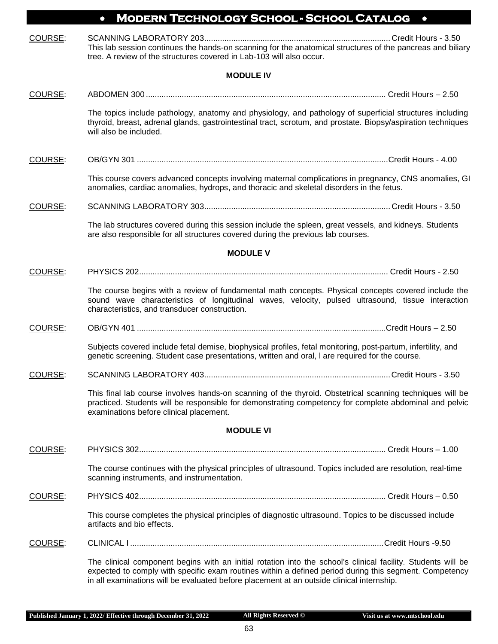|         | <b>MODERN TECHNOLOGY SCHOOL - SCHOOL CATALOG</b><br>$\bullet$<br>$\bullet$                                                                                                                                                                                                                                          |
|---------|---------------------------------------------------------------------------------------------------------------------------------------------------------------------------------------------------------------------------------------------------------------------------------------------------------------------|
| COURSE: | This lab session continues the hands-on scanning for the anatomical structures of the pancreas and biliary<br>tree. A review of the structures covered in Lab-103 will also occur.                                                                                                                                  |
|         | <b>MODULE IV</b>                                                                                                                                                                                                                                                                                                    |
| COURSE: |                                                                                                                                                                                                                                                                                                                     |
|         | The topics include pathology, anatomy and physiology, and pathology of superficial structures including<br>thyroid, breast, adrenal glands, gastrointestinal tract, scrotum, and prostate. Biopsy/aspiration techniques<br>will also be included.                                                                   |
| COURSE: |                                                                                                                                                                                                                                                                                                                     |
|         | This course covers advanced concepts involving maternal complications in pregnancy, CNS anomalies, GI<br>anomalies, cardiac anomalies, hydrops, and thoracic and skeletal disorders in the fetus.                                                                                                                   |
| COURSE: |                                                                                                                                                                                                                                                                                                                     |
|         | The lab structures covered during this session include the spleen, great vessels, and kidneys. Students<br>are also responsible for all structures covered during the previous lab courses.                                                                                                                         |
|         | <b>MODULE V</b>                                                                                                                                                                                                                                                                                                     |
| COURSE: |                                                                                                                                                                                                                                                                                                                     |
|         | The course begins with a review of fundamental math concepts. Physical concepts covered include the<br>sound wave characteristics of longitudinal waves, velocity, pulsed ultrasound, tissue interaction<br>characteristics, and transducer construction.                                                           |
| COURSE: |                                                                                                                                                                                                                                                                                                                     |
|         | Subjects covered include fetal demise, biophysical profiles, fetal monitoring, post-partum, infertility, and<br>genetic screening. Student case presentations, written and oral, I are required for the course.                                                                                                     |
| COURSE: | SCANNING LABORATORY 403.<br>Credit Hours - 3.50                                                                                                                                                                                                                                                                     |
|         | This final lab course involves hands-on scanning of the thyroid. Obstetrical scanning techniques will be<br>practiced. Students will be responsible for demonstrating competency for complete abdominal and pelvic<br>examinations before clinical placement.                                                       |
|         | <b>MODULE VI</b>                                                                                                                                                                                                                                                                                                    |
| COURSE: |                                                                                                                                                                                                                                                                                                                     |
|         | The course continues with the physical principles of ultrasound. Topics included are resolution, real-time<br>scanning instruments, and instrumentation.                                                                                                                                                            |
| COURSE: |                                                                                                                                                                                                                                                                                                                     |
|         | This course completes the physical principles of diagnostic ultrasound. Topics to be discussed include<br>artifacts and bio effects.                                                                                                                                                                                |
| COURSE: |                                                                                                                                                                                                                                                                                                                     |
|         | The clinical component begins with an initial rotation into the school's clinical facility. Students will be<br>expected to comply with specific exam routines within a defined period during this segment. Competency<br>in all examinations will be evaluated before placement at an outside clinical internship. |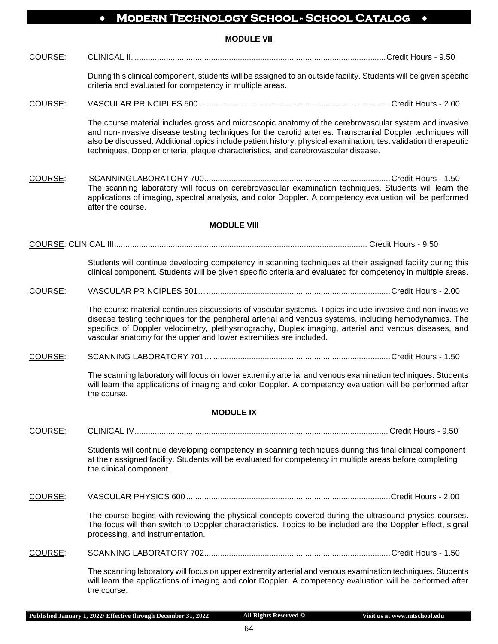**MODULE VII**

COURSE: CLINICAL II. ................................................................................................................Credit Hours - 9.50

During this clinical component, students will be assigned to an outside facility. Students will be given specific criteria and evaluated for competency in multiple areas.

COURSE: VASCULAR PRINCIPLES 500 .....................................................................................Credit Hours - 2.00

The course material includes gross and microscopic anatomy of the cerebrovascular system and invasive and non-invasive disease testing techniques for the carotid arteries. Transcranial Doppler techniques will also be discussed. Additional topics include patient history, physical examination, test validation therapeutic techniques, Doppler criteria, plaque characteristics, and cerebrovascular disease.

COURSE: SCANNINGLABORATORY 700...................................................................................Credit Hours - 1.50 The scanning laboratory will focus on cerebrovascular examination techniques. Students will learn the applications of imaging, spectral analysis, and color Doppler. A competency evaluation will be performed after the course.

#### **MODULE VIII**

COURSE: CLINICAL III................................................................................................................ Credit Hours - 9.50

Students will continue developing competency in scanning techniques at their assigned facility during this clinical component. Students will be given specific criteria and evaluated for competency in multiple areas.

COURSE: VASCULAR PRINCIPLES 501…..................................................................................Credit Hours - 2.00

The course material continues discussions of vascular systems. Topics include invasive and non-invasive disease testing techniques for the peripheral arterial and venous systems, including hemodynamics. The specifics of Doppler velocimetry, plethysmography, Duplex imaging, arterial and venous diseases, and vascular anatomy for the upper and lower extremities are included.

COURSE: SCANNING LABORATORY 701…...............................................................................Credit Hours - 1.50

The scanning laboratory will focus on lower extremity arterial and venous examination techniques. Students will learn the applications of imaging and color Doppler. A competency evaluation will be performed after the course.

#### **MODULE IX**

COURSE: CLINICAL IV................................................................................................................. Credit Hours - 9.50

Students will continue developing competency in scanning techniques during this final clinical component at their assigned facility. Students will be evaluated for competency in multiple areas before completing the clinical component.

COURSE: VASCULAR PHYSICS 600 ...........................................................................................Credit Hours - 2.00

The course begins with reviewing the physical concepts covered during the ultrasound physics courses. The focus will then switch to Doppler characteristics. Topics to be included are the Doppler Effect, signal processing, and instrumentation.

COURSE: SCANNING LABORATORY 702...................................................................................Credit Hours - 1.50

The scanning laboratory will focus on upper extremity arterial and venous examination techniques. Students will learn the applications of imaging and color Doppler. A competency evaluation will be performed after the course.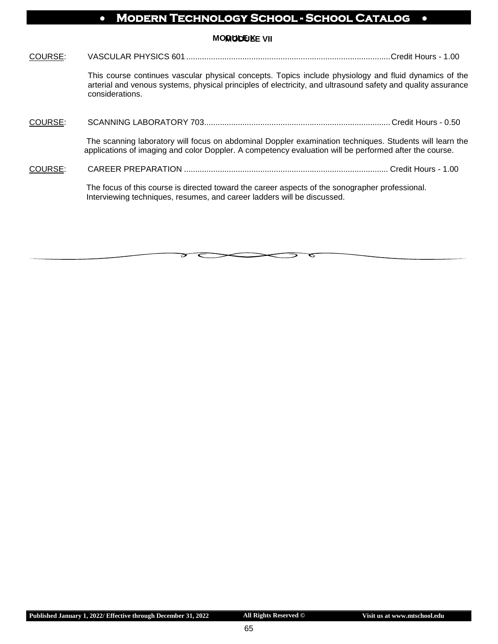**MODULE VII MODULE X**

| COURSE: |                                                                                                                                                                                                                                          |  |
|---------|------------------------------------------------------------------------------------------------------------------------------------------------------------------------------------------------------------------------------------------|--|
|         | This course continues vascular physical concepts. Topics include physiology and fluid dynamics of the<br>arterial and venous systems, physical principles of electricity, and ultrasound safety and quality assurance<br>considerations. |  |
| COURSE: |                                                                                                                                                                                                                                          |  |
|         | The scanning laboratory will focus on abdominal Doppler examination techniques. Students will learn the<br>applications of imaging and color Doppler. A competency evaluation will be performed after the course.                        |  |
| COURSE: |                                                                                                                                                                                                                                          |  |
|         | The focus of this course is directed toward the career aspects of the sonographer professional.<br>Interviewing techniques, resumes, and career ladders will be discussed.                                                               |  |
|         |                                                                                                                                                                                                                                          |  |

ਟ

ᠳ